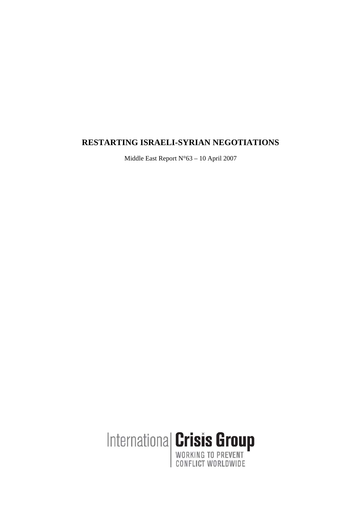# **RESTARTING ISRAELI-SYRIAN NEGOTIATIONS**

Middle East Report N°63 – 10 April 2007

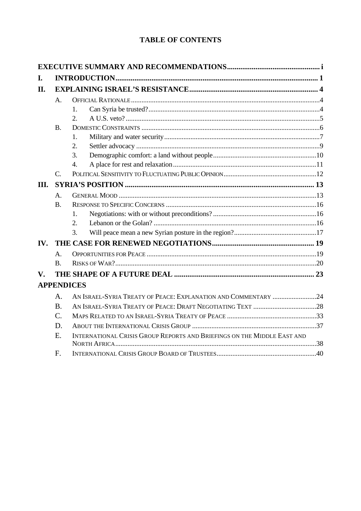# **TABLE OF CONTENTS**

| $\mathsf{A}$ .  |                                                                         |                                                                                     |  |
|-----------------|-------------------------------------------------------------------------|-------------------------------------------------------------------------------------|--|
|                 | 1.                                                                      |                                                                                     |  |
|                 | 2.                                                                      |                                                                                     |  |
| <b>B.</b>       |                                                                         |                                                                                     |  |
|                 | 1.                                                                      |                                                                                     |  |
|                 | 2.                                                                      |                                                                                     |  |
|                 | 3.                                                                      |                                                                                     |  |
|                 | 4.                                                                      |                                                                                     |  |
| $C_{\cdot}$     |                                                                         |                                                                                     |  |
| III.            |                                                                         |                                                                                     |  |
| $\mathbf{A}$ .  |                                                                         |                                                                                     |  |
| <b>B.</b>       |                                                                         |                                                                                     |  |
|                 | 1.                                                                      |                                                                                     |  |
|                 | $\overline{2}$ .                                                        |                                                                                     |  |
|                 | 3.                                                                      |                                                                                     |  |
| IV.             |                                                                         |                                                                                     |  |
| $\mathsf{A}$ .  |                                                                         |                                                                                     |  |
| $\bf{B}$        |                                                                         |                                                                                     |  |
|                 |                                                                         |                                                                                     |  |
|                 |                                                                         |                                                                                     |  |
| $\mathbf{A}$ .  |                                                                         |                                                                                     |  |
| <b>B.</b>       |                                                                         |                                                                                     |  |
| $\mathcal{C}$ . |                                                                         |                                                                                     |  |
| D.              |                                                                         |                                                                                     |  |
| $E_{\cdot}$     | INTERNATIONAL CRISIS GROUP REPORTS AND BRIEFINGS ON THE MIDDLE EAST AND |                                                                                     |  |
|                 |                                                                         |                                                                                     |  |
| F.              |                                                                         |                                                                                     |  |
|                 |                                                                         | <b>APPENDICES</b><br>AN ISRAEL-SYRIA TREATY OF PEACE: EXPLANATION AND COMMENTARY 24 |  |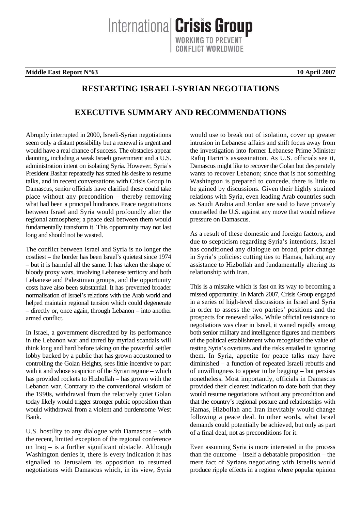Internationa **Crisis Group** 

**Middle East Report N°63 10 April 2007**

# **RESTARTING ISRAELI-SYRIAN NEGOTIATIONS**

# **EXECUTIVE SUMMARY AND RECOMMENDATIONS**

Abruptly interrupted in 2000, Israeli-Syrian negotiations seem only a distant possibility but a renewal is urgent and would have a real chance of success. The obstacles appear daunting, including a weak Israeli government and a U.S. administration intent on isolating Syria. However, Syria's President Bashar repeatedly has stated his desire to resume talks, and in recent conversations with Crisis Group in Damascus, senior officials have clarified these could take place without any precondition – thereby removing what had been a principal hindrance. Peace negotiations between Israel and Syria would profoundly alter the regional atmosphere; a peace deal between them would fundamentally transform it. This opportunity may not last long and should not be wasted.

The conflict between Israel and Syria is no longer the costliest – the border has been Israel's quietest since 1974 – but it is harmful all the same. It has taken the shape of bloody proxy wars, involving Lebanese territory and both Lebanese and Palestinian groups, and the opportunity costs have also been substantial. It has prevented broader normalisation of Israel's relations with the Arab world and helped maintain regional tension which could degenerate – directly or, once again, through Lebanon – into another armed conflict.

In Israel, a government discredited by its performance in the Lebanon war and tarred by myriad scandals will think long and hard before taking on the powerful settler lobby backed by a public that has grown accustomed to controlling the Golan Heights, sees little incentive to part with it and whose suspicion of the Syrian regime – which has provided rockets to Hizbollah – has grown with the Lebanon war. Contrary to the conventional wisdom of the 1990s, withdrawal from the relatively quiet Golan today likely would trigger stronger public opposition than would withdrawal from a violent and burdensome West Bank.

U.S. hostility to any dialogue with Damascus – with the recent, limited exception of the regional conference on Iraq – is a further significant obstacle. Although Washington denies it, there is every indication it has signalled to Jerusalem its opposition to resumed negotiations with Damascus which, in its view, Syria would use to break out of isolation, cover up greater intrusion in Lebanese affairs and shift focus away from the investigation into former Lebanese Prime Minister Rafiq Hariri's assassination. As U.S. officials see it, Damascus might like to recover the Golan but desperately wants to recover Lebanon; since that is not something Washington is prepared to concede, there is little to be gained by discussions. Given their highly strained relations with Syria, even leading Arab countries such as Saudi Arabia and Jordan are said to have privately counselled the U.S. against any move that would relieve pressure on Damascus.

As a result of these domestic and foreign factors, and due to scepticism regarding Syria's intentions, Israel has conditioned any dialogue on broad, prior change in Syria's policies: cutting ties to Hamas, halting any assistance to Hizbollah and fundamentally altering its relationship with Iran.

This is a mistake which is fast on its way to becoming a missed opportunity. In March 2007, Crisis Group engaged in a series of high-level discussions in Israel and Syria in order to assess the two parties' positions and the prospects for renewed talks. While official resistance to negotiations was clear in Israel, it waned rapidly among both senior military and intelligence figures and members of the political establishment who recognised the value of testing Syria's overtures and the risks entailed in ignoring them. In Syria, appetite for peace talks may have diminished – a function of repeated Israeli rebuffs and of unwillingness to appear to be begging – but persists nonetheless. Most importantly, officials in Damascus provided their clearest indication to date both that they would resume negotiations without any precondition and that the country's regional posture and relationships with Hamas, Hizbollah and Iran inevitably would change following a peace deal. In other words, what Israel demands could potentially be achieved, but only as part of a final deal, not as preconditions for it.

Even assuming Syria is more interested in the process than the outcome – itself a debatable proposition – the mere fact of Syrians negotiating with Israelis would produce ripple effects in a region where popular opinion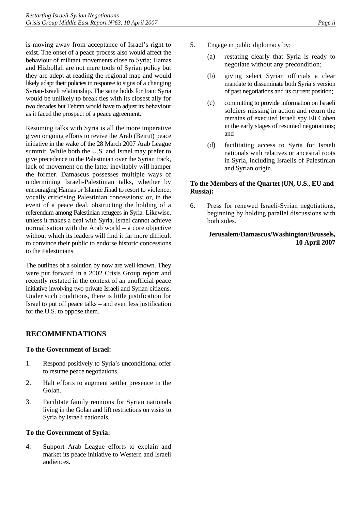is moving away from acceptance of Israel's right to exist. The onset of a peace process also would affect the behaviour of militant movements close to Syria; Hamas and Hizbollah are not mere tools of Syrian policy but they are adept at reading the regional map and would likely adapt their policies in response to signs of a changing Syrian-Israeli relationship. The same holds for Iran: Syria would be unlikely to break ties with its closest ally for two decades but Tehran would have to adjust its behaviour as it faced the prospect of a peace agreement.

Resuming talks with Syria is all the more imperative given ongoing efforts to revive the Arab (Beirut) peace initiative in the wake of the 28 March 2007 Arab League summit. While both the U.S. and Israel may prefer to give precedence to the Palestinian over the Syrian track, lack of movement on the latter inevitably will hamper the former. Damascus possesses multiple ways of undermining Israeli-Palestinian talks, whether by encouraging Hamas or Islamic Jihad to resort to violence; vocally criticising Palestinian concessions; or, in the event of a peace deal, obstructing the holding of a referendum among Palestinian refugees in Syria. Likewise, unless it makes a deal with Syria, Israel cannot achieve normalisation with the Arab world – a core objective without which its leaders will find it far more difficult to convince their public to endorse historic concessions to the Palestinians.

The outlines of a solution by now are well known. They were put forward in a 2002 Crisis Group report and recently restated in the context of an unofficial peace initiative involving two private Israeli and Syrian citizens. Under such conditions, there is little justification for Israel to put off peace talks – and even less justification for the U.S. to oppose them.

# **RECOMMENDATIONS**

### **To the Government of Israel:**

- 1. Respond positively to Syria's unconditional offer to resume peace negotiations.
- 2. Halt efforts to augment settler presence in the Golan.
- 3. Facilitate family reunions for Syrian nationals living in the Golan and lift restrictions on visits to Syria by Israeli nationals.

### **To the Government of Syria:**

4. Support Arab League efforts to explain and market its peace initiative to Western and Israeli audiences.

- 5. Engage in public diplomacy by:
	- (a) restating clearly that Syria is ready to negotiate without any precondition;
	- (b) giving select Syrian officials a clear mandate to disseminate both Syria's version of past negotiations and its current position;
	- (c) committing to provide information on Israeli soldiers missing in action and return the remains of executed Israeli spy Eli Cohen in the early stages of resumed negotiations; and
	- (d) facilitating access to Syria for Israeli nationals with relatives or ancestral roots in Syria, including Israelis of Palestinian and Syrian origin.

# **To the Members of the Quartet (UN, U.S., EU and Russia):**

6. Press for renewed Israeli-Syrian negotiations, beginning by holding parallel discussions with both sides.

# **Jerusalem/Damascus/Washington/Brussels, 10 April 2007**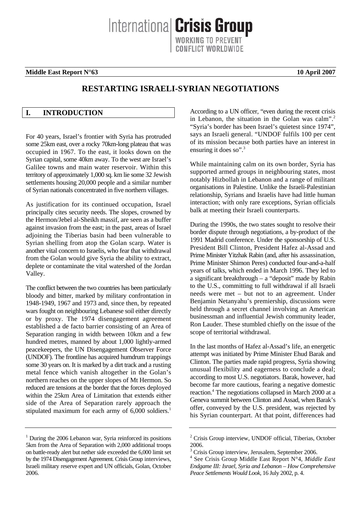Internationa **Crisis Group** 

**Middle East Report N°63** 10 April 2007

# **RESTARTING ISRAELI-SYRIAN NEGOTIATIONS**

# <span id="page-4-0"></span>**I. INTRODUCTION**

For 40 years, Israel's frontier with Syria has protruded some 25km east, over a rocky 70km-long plateau that was occupied in 1967. To the east, it looks down on the Syrian capital, some 40km away. To the west are Israel's Galilee towns and main water reservoir. Within this territory of approximately 1,000 sq. km lie some 32 Jewish settlements housing 20,000 people and a similar number of Syrian nationals concentrated in five northern villages.

As justification for its continued occupation, Israel principally cites security needs. The slopes, crowned by the Hermon/Jebel al-Sheikh massif, are seen as a buffer against invasion from the east; in the past, areas of Israel adjoining the Tiberias basin had been vulnerable to Syrian shelling from atop the Golan scarp. Water is another vital concern to Israelis, who fear that withdrawal from the Golan would give Syria the ability to extract, deplete or contaminate the vital watershed of the Jordan Valley.

The conflict between the two countries has been particularly bloody and bitter, marked by military confrontation in 1948-1949, 1967 and 1973 and, since then, by repeated wars fought on neighbouring Lebanese soil either directly or by proxy. The 1974 disengagement agreement established a de facto barrier consisting of an Area of Separation ranging in width between 10km and a few hundred metres, manned by about 1,000 lightly-armed peacekeepers, the UN Disengagement Observer Force (UNDOF). The frontline has acquired humdrum trappings some 30 years on. It is marked by a dirt track and a rusting metal fence which vanish altogether in the Golan's northern reaches on the upper slopes of Mt Hermon. So reduced are tensions at the border that the forces deployed within the 25km Area of Limitation that extends either side of the Area of Separation rarely approach the stipulated maximum for each army of 6,000 soldiers.<sup>1</sup>

According to a UN officer, "even during the recent crisis in Lebanon, the situation in the Golan was calm".<sup>2</sup> "Syria's border has been Israel's quietest since 1974", says an Israeli general. "UNDOF fulfils 100 per cent of its mission because both parties have an interest in ensuring it does so".<sup>3</sup>

While maintaining calm on its own border, Syria has supported armed groups in neighbouring states, most notably Hizbollah in Lebanon and a range of militant organisations in Palestine. Unlike the Israeli-Palestinian relationship, Syrians and Israelis have had little human interaction; with only rare exceptions, Syrian officials balk at meeting their Israeli counterparts.

During the 1990s, the two states sought to resolve their border dispute through negotiations, a by-product of the 1991 Madrid conference. Under the sponsorship of U.S. President Bill Clinton, President Hafez al-Assad and Prime Minister Yitzhak Rabin (and, after his assassination, Prime Minister Shimon Peres) conducted four-and-a-half years of talks, which ended in March 1996. They led to a significant breakthrough  $-$  a "deposit" made by Rabin to the U.S., committing to full withdrawal if all Israeli needs were met – but not to an agreement. Under Benjamin Netanyahu's premiership, discussions were held through a secret channel involving an American businessman and influential Jewish community leader, Ron Lauder. These stumbled chiefly on the issue of the scope of territorial withdrawal.

In the last months of Hafez al-Assad's life, an energetic attempt was initiated by Prime Minister Ehud Barak and Clinton. The parties made rapid progress, Syria showing unusual flexibility and eagerness to conclude a deal; according to most U.S. negotiators. Barak, however, had become far more cautious, fearing a negative domestic reaction.<sup>[4](#page-4-4)</sup> The negotiations collapsed in March 2000 at a Geneva summit between Clinton and Assad, when Barak's offer, conveyed by the U.S. president, was rejected by his Syrian counterpart. At that point, differences had

<span id="page-4-1"></span><sup>&</sup>lt;sup>1</sup> During the 2006 Lebanon war, Syria reinforced its positions 5km from the Area of Separation with 2,000 additional troops on battle-ready alert but nether side exceeded the 6,000 limit set by the 1974 Disengagement Agreement. Crisis Group interviews, Israeli military reserve expert and UN officials, Golan, October 2006.

<span id="page-4-2"></span><sup>&</sup>lt;sup>2</sup> Crisis Group interview, UNDOF official, Tiberias, October 2006.

<span id="page-4-3"></span><sup>&</sup>lt;sup>3</sup> Crisis Group interview, Jerusalem, September 2006.

<span id="page-4-4"></span><sup>4</sup> See Crisis Group Middle East Report N°4, *Middle East Endgame III: Israel, Syria and Lebanon – How Comprehensive Peace Settlements Would Look*, 16 July 2002, p. 4.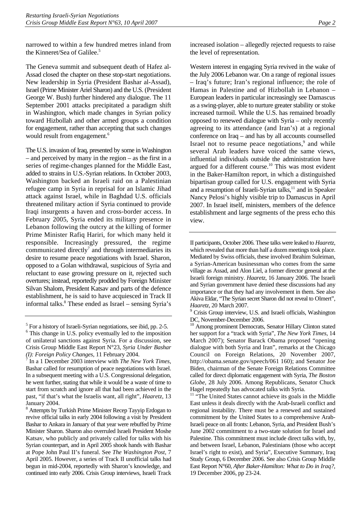narrowed to within a few hundred metres inland from the Kinneret/Sea of Galilee.<sup>[5](#page-5-0)</sup>

The Geneva summit and subsequent death of Hafez al-Assad closed the chapter on these stop-start negotiations. New leadership in Syria (President Bashar al-Assad), Israel (Prime Minister Ariel Sharon) and the U.S. (President George W. Bush) further hindered any dialogue. The 11 September 2001 attacks precipitated a paradigm shift in Washington, which made changes in Syrian policy toward Hizbollah and other armed groups a condition for engagement, rather than accepting that such changes would result from engagement.<sup>[6](#page-5-1)</sup>

The U.S. invasion of Iraq, presented by some in Washington – and perceived by many in the region – as the first in a series of regime-changes planned for the Middle East, added to strains in U.S.-Syrian relations. In October 2003, Washington backed an Israeli raid on a Palestinian refugee camp in Syria in reprisal for an Islamic Jihad attack against Israel, while in Baghdad U.S. officials threatened military action if Syria continued to provide Iraqi insurgents a haven and cross-border access. In February 2005, Syria ended its military presence in Lebanon following the outcry at the killing of former Prime Minister Rafiq Hariri, for which many held it responsible. Increasingly pressured, the regime communicated directly<sup>[7](#page-5-2)</sup> and through intermediaries its desire to resume peace negotiations with Israel. Sharon, opposed to a Golan withdrawal, suspicious of Syria and reluctant to ease growing pressure on it, rejected such overtures; instead, reportedly prodded by Foreign Minister Silvan Shalom, President Katsav and parts of the defence establishment, he is said to have acquiesced in Track II informal talks.<sup>8</sup> [T](#page-5-3)hese ended as Israel – sensing Syria's

<span id="page-5-3"></span><sup>8</sup> Attempts by Turkish Prime Minister Recep Tayyip Erdogan to revive official talks in early 2004 following a visit by President Bashar to Ankara in January of that year were rebuffed by Prime Minister Sharon. Sharon also overruled Israeli President Moshe Katsav, who publicly and privately called for talks with his Syrian counterpart, and in April 2005 shook hands with Bashar at Pope John Paul II's funeral. See *The Washington Post*, 7 April 2005. However, a series of Track II unofficial talks had begun in mid-2004, reportedly with Sharon's knowledge, and continued into early 2006. Crisis Group interviews, Israeli Track increased isolation – allegedly rejected requests to raise the level of representation.

Western interest in engaging Syria revived in the wake of the July 2006 Lebanon war. On a range of regional issues – Iraq's future; Iran's regional influence; the role of Hamas in Palestine and of Hizbollah in Lebanon – European leaders in particular increasingly see Damascus as a swing-player, able to nurture greater stability or stoke increased turmoil. While the U.S. has remained broadly opposed to renewed dialogue with Syria – only recently agreeing to its attendance (and Iran's) at a regional conference on Iraq – and has by all accounts counselled Israel not to resume peace negotiations, $9$  and while several Arab leaders have voiced the same views, influential individuals outside the administration have argued for a different course.<sup>10</sup> This was most evident in the Baker-Hamilton report, in which a distinguished bipartisan group called for U.S. engagement with Syria and a resumption of Israeli-Syrian talks, $11$  and in Speaker Nancy Pelosi's highly visible trip to Damascus in April 2007. In Israel itself, ministers, members of the defence establishment and large segments of the press echo this view.

II participants, October 2006. These talks were leaked to *Haaretz*, which revealed that more than half a dozen meetings took place. Mediated by Swiss officials, these involved Ibrahim Suleiman, a Syrian-American businessman who comes from the same village as Assad, and Alon Liel, a former director general at the Israeli foreign ministry. *Haaretz*, 16 January 2006. The Israeli and Syrian government have denied these discussions had any importance or that they had any involvement in them. See also Akiva Eldar, "The Syrian secret Sharon did not reveal to Olmert", *Haaretz*, 20 March 2007. 9

<span id="page-5-0"></span><sup>&</sup>lt;sup>5</sup> For a history of Israeli-Syrian negotiations, see ibid, pp. 2-5.

<span id="page-5-1"></span><sup>&</sup>lt;sup>6</sup> This change in U.S. policy eventually led to the imposition of unilateral sanctions against Syria. For a discussion, see Crisis Group Middle East Report N°23, *Syria Under Bashar (I): Foreign Policy Changes, 11 February 2004.* 

<span id="page-5-2"></span>In a 1 December 2003 interview with *The New York Times*, Bashar called for resumption of peace negotiations with Israel. In a subsequent meeting with a U.S. Congressional delegation, he went further, stating that while it would be a waste of time to start from scratch and ignore all that had been achieved in the past, "if that's what the Israelis want, all right", *Haaretz*, 13 January 2004.

<span id="page-5-4"></span><sup>&</sup>lt;sup>9</sup> Crisis Group interview, U.S. and Israeli officials, Washington DC, November-December 2006.

<span id="page-5-5"></span><sup>&</sup>lt;sup>10</sup> Among prominent Democrats, Senator Hillary Clinton stated her support for a "track with Syria", *The New York Times*, 14 March 2007); Senator Barack Obama proposed "opening dialogue with both Syria and Iran", remarks at the Chicago Council on Foreign Relations, 20 November 2007, http://obama.senate.gov/speech/061 160); and Senator Joe Biden, chairman of the Senate Foreign Relations Committee called for direct diplomatic engagement with Syria, *The Boston Globe*, 28 July 2006. Among Republicans, Senator Chuck Hagel repeatedly has advocated talks with Syria.

<span id="page-5-6"></span><sup>&</sup>lt;sup>11</sup> "The United States cannot achieve its goals in the Middle East unless it deals directly with the Arab-Israeli conflict and regional instability. There must be a renewed and sustained commitment by the United States to a comprehensive Arab-Israeli peace on all fronts: Lebanon, Syria, and President Bush's June 2002 commitment to a two-state solution for Israel and Palestine. This commitment must include direct talks with, by, and between Israel, Lebanon, Palestinians (those who accept Israel's right to exist), and Syria", Executive Summary, Iraq Study Group, 6 December 2006. See also Crisis Group Middle East Report N°60, *After Baker-Hamilton: What to Do in Iraq?*, 19 December 2006, pp 23-24.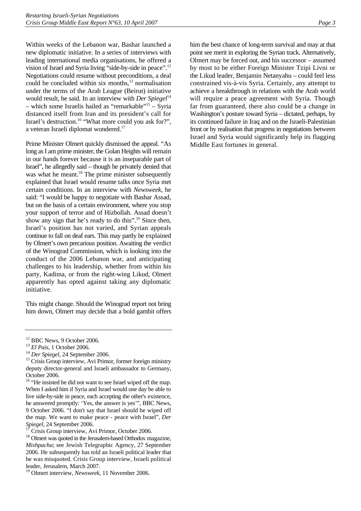Within weeks of the Lebanon war, Bashar launched a new diplomatic initiative. In a series of interviews with leading international media organisations, he offered a vision of Israel and Syria living "side-by-side in peace"[.12](#page-6-0) Negotiations could resume without preconditions, a deal could be concluded within six months, $13$  normalisation under the terms of the Arab League (Beirut) initiative would result, he said. In an interview with *Der Spiegel*<sup>[14](#page-6-2)</sup> – which some Israelis hailed as "remarkable"[15 –](#page-6-3) Syria distanced itself from Iran and its president's call for Israel's destruction.[16](#page-6-4) "What more could you ask for?", a veteran Israeli diplomat wondered[.17](#page-6-5) 

Prime Minister Olmert quickly dismissed the appeal. "As long as I am prime minister, the Golan Heights will remain in our hands forever because it is an inseparable part of Israel", he allegedly said – though he privately denied that was what he meant.<sup>18</sup> The prime minister subsequently explained that Israel would resume talks once Syria met certain conditions. In an interview with *Newsweek*, he said: "I would be happy to negotiate with Bashar Assad, but on the basis of a certain environment, where you stop your support of terror and of Hizbollah. Assad doesn't show any sign that he's ready to do this".<sup>19</sup> Since then, Israel's position has not varied, and Syrian appeals continue to fall on deaf ears. This may partly be explained by Olmert's own precarious position. Awaiting the verdict of the Winograd Commission, which is looking into the conduct of the 2006 Lebanon war, and anticipating challenges to his leadership, whether from within his party, Kadima, or from the right-wing Likud, Olmert apparently has opted against taking any diplomatic initiative.

This might change. Should the Winograd report not bring him down, Olmert may decide that a bold gambit offers him the best chance of long-term survival and may at that point see merit in exploring the Syrian track. Alternatively, Olmert may be forced out, and his successor – assumed by most to be either Foreign Minister Tzipi Livni or the Likud leader, Benjamin Netanyahu – could feel less constrained vis-à-vis Syria. Certainly, any attempt to achieve a breakthrough in relations with the Arab world will require a peace agreement with Syria. Though far from guaranteed, there also could be a change in Washington's posture toward Syria – dictated, perhaps, by its continued failure in Iraq and on the Israeli-Palestinian front or by realisation that progress in negotiations between Israel and Syria would significantly help its flagging Middle East fortunes in general.

<span id="page-6-0"></span> $^{12}$  BBC News, 9 October 2006.<br> $^{13}$  El Pais, 1 October 2006.

<span id="page-6-1"></span>

<span id="page-6-3"></span><span id="page-6-2"></span>

<sup>&</sup>lt;sup>14</sup> *Der Spiegel*, 24 September 2006.<br><sup>15</sup> Crisis Group interview, Avi Primor, former foreign ministry deputy director-general and Israeli ambassador to Germany, October 2006.

<span id="page-6-4"></span><sup>&</sup>lt;sup>16</sup> "He insisted he did not want to see Israel wiped off the map. When I asked him if Syria and Israel would one day be able to live side-by-side in peace, each accepting the other's existence, he answered promptly: 'Yes, the answer is yes'", BBC News, 9 October 2006. "I don't say that Israel should be wiped off the map. We want to make peace - peace with Israel", *Der Spiegel*, 24 September 2006.17 Crisis Group interview, Avi Primor, October 2006.

<span id="page-6-5"></span>

<span id="page-6-6"></span><sup>&</sup>lt;sup>18</sup> Olmert was quoted in the Jerusalem-based Orthodox magazine, *Mishpacha*; see Jewish Telegraphic Agency, 27 September 2006. He subsequently has told an Israeli political leader that he was misquoted. Crisis Group interview, Israeli political leader, Jerusalem, March 2007.

<span id="page-6-7"></span><sup>19</sup> Olmert interview, *Newsweek*, 11 November 2006.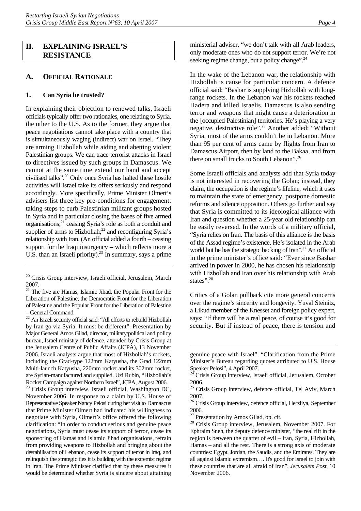### <span id="page-7-0"></span>**II. EXPLAINING ISRAEL'S RESISTANCE**

### <span id="page-7-1"></span>**A. OFFICIAL RATIONALE**

#### **1. Can Syria be trusted?**

<span id="page-7-2"></span>In explaining their objection to renewed talks, Israeli officials typically offer two rationales, one relating to Syria, the other to the U.S. As to the former, they argue that peace negotiations cannot take place with a country that is simultaneously waging (indirect) war on Israel. "They are arming Hizbollah while aiding and abetting violent Palestinian groups. We can trace terrorist attacks in Israel to directives issued by such groups in Damascus. We cannot at the same time extend our hand and accept civilised talks".[20 O](#page-7-3)nly once Syria has halted these hostile activities will Israel take its offers seriously and respond accordingly. More specifically, Prime Minister Olmert's advisers list three key pre-conditions for engagement: taking steps to curb Palestinian militant groups hosted in Syria and in particular closing the bases of five armed organisations;[21 c](#page-7-4)easing Syria's role as both a conduit and supplier of arms to Hizbollah;<sup>22</sup> and reconfiguring Syria's relationship with Iran. (An official added a fourth – ceasing support for the Iraqi insurgency – which reflects more a U.S. than an Israeli priority).<sup>23</sup> In summary, says a prime

<span id="page-7-6"></span><sup>23</sup> Crisis Group interview, Israeli official, Washington DC, November 2006. In response to a claim by U.S. House of Representative Speaker Nancy Pelosi during her visit to Damascus that Prime Minister Olmert had indicated his willingness to negotiate with Syria, Olmert's office offered the following clarification: "In order to conduct serious and genuine peace negotiations, Syria must cease its support of terror, cease its sponsoring of Hamas and Islamic Jihad organisations, refrain from providing weapons to Hizbollah and bringing about the destabilisation of Lebanon, cease its support of terror in Iraq, and relinquish the strategic ties it is building with the extremist regime in Iran. The Prime Minister clarified that by these measures it would be determined whether Syria is sincere about attaining

ministerial adviser, "we don't talk with all Arab leaders, only moderate ones who do not support terror. We're not seeking regime change, but a policy change".<sup>24</sup>

In the wake of the Lebanon war, the relationship with Hizbollah is cause for particular concern. A defence official said: "Bashar is supplying Hizbollah with longrange rockets. In the Lebanon war his rockets reached Hadera and killed Israelis. Damascus is also sending terror and weapons that might cause a deterioration in the [occupied Palestinian] territories. He's playing a very negative, destructive role".<sup>25</sup> Another added: "Without Syria, most of the arms couldn't be in Lebanon. More than 95 per cent of arms came by flights from Iran to Damascus Airport, then by land to the Bakaa, and from there on small trucks to South Lebanon".<sup>26</sup>

Some Israeli officials and analysts add that Syria today is not interested in recovering the Golan; instead, they claim, the occupation is the regime's lifeline, which it uses to maintain the state of emergency, postpone domestic reforms and silence opposition. Others go further and say that Syria is committed to its ideological alliance with Iran and question whether a 25-year old relationship can be easily reversed. In the words of a military official, "Syria relies on Iran. The basis of this alliance is the basis of the Assad regime's existence. He's isolated in the Arab world but he has the strategic backing of Iran".<sup>27</sup> An official in the prime minister's office said: "Ever since Bashar arrived in power in 2000, he has chosen his relationship with Hizbollah and Iran over his relationship with Arab states".<sup>[28](#page-7-11)</sup>

Critics of a Golan pullback cite more general concerns over the regime's sincerity and longevity. Yuval Steinitz, a Likud member of the Knesset and foreign policy expert, says: "If there will be a real peace, of course it's good for security. But if instead of peace, there is tension and

<span id="page-7-3"></span><sup>&</sup>lt;sup>20</sup> Crisis Group interview, Israeli official, Jerusalem, March 2007.

<span id="page-7-4"></span><sup>&</sup>lt;sup>21</sup> The five are Hamas, Islamic Jihad, the Popular Front for the Liberation of Palestine, the Democratic Front for the Liberation of Palestine and the Popular Front for the Liberation of Palestine – General Command.

<span id="page-7-5"></span><sup>22</sup> An Israeli security official said: "All efforts to rebuild Hizbollah by Iran go via Syria. It must be different". Presentation by Major General Amos Gilad, director, military/political and policy bureau, Israel ministry of defence, attended by Crisis Group at the Jerusalem Centre of Public Affairs (JCPA), 13 November 2006. Israeli analysts argue that most of Hizbollah's rockets, including the Grad-type 122mm Katyusha, the Grad 122mm Multi-launch Katyusha, 220mm rocket and its 302mm rocket, are Syrian-manufactured and supplied. Uzi Rubin, "Hizbollah's Rocket Campaign against Northern Israel", JCPA, August 2006.

genuine peace with Israel". "Clarification from the Prime Minister's Bureau regarding quotes attributed to U.S. House Speaker Pelosi", 4 April 2007.

<span id="page-7-7"></span><sup>24</sup> Crisis Group interview, Israeli official, Jerusalem, October 2006.

<span id="page-7-8"></span><sup>&</sup>lt;sup>25</sup> Crisis Group interview, defence official, Tel Aviv, March 2007.

<span id="page-7-9"></span><sup>&</sup>lt;sup>26</sup> Crisis Group interview, defence official, Herzliya, September 2006.

<span id="page-7-10"></span> $27$  Presentation by Amos Gilad, op. cit.

<span id="page-7-11"></span><sup>28</sup> Crisis Group interview, Jerusalem, November 2007. For Ephraim Sneh, the deputy defence minister, "the real rift in the region is between the quartet of evil – Iran, Syria, Hizbollah, Hamas – and all the rest. There is a strong axis of moderate countries: Egypt, Jordan, the Saudis, and the Emirates. They are all against Islamic extremism…. It's good for Israel to join with these countries that are all afraid of Iran", *Jerusalem Post*, 10 November 2006.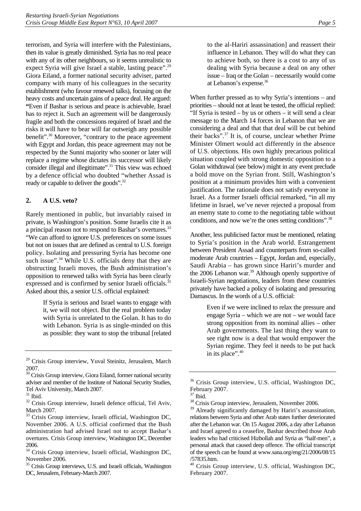terrorism, and Syria will interfere with the Palestinians, then its value is greatly diminished. Syria has no real peace with any of its other neighbours, so it seems unrealistic to expect Syria will give Israel a stable, lasting peace".<sup>29</sup> Giora Eiland, a former national security adviser, parted company with many of his colleagues in the security establishment (who favour renewed talks), focusing on the heavy costs and uncertain gains of a peace deal. He argued: **"**Even if Bashar is serious and peace is achievable, Israel has to reject it. Such an agreement will be dangerously fragile and both the concessions required of Israel and the risks it will have to bear will far outweigh any possible benefit".[30 M](#page-8-2)oreover, "contrary to the peace agreement with Egypt and Jordan, this peace agreement may not be respected by the Sunni majority who sooner or later will replace a regime whose dictates its successor will likely consider illegal and illegitimate".<sup>31</sup> This view was echoed by a defence official who doubted "whether Assad is ready or capable to deliver the goods".<sup>32</sup>

### <span id="page-8-0"></span>**2. A U.S. veto?**

Rarely mentioned in public, but invariably raised in private, is Washington's position. Some Israelis cite it as a principal reason not to respond to Bashar's overtures.<sup>33</sup> "We can afford to ignore U.S. preferences on some issues but not on issues that are defined as central to U.S. foreign policy. Isolating and pressuring Syria has become one such issue".<sup>34</sup> While U.S. officials deny that they are obstructing Israeli moves, the Bush administration's opposition to renewed talks with Syria has been clearly expressed and is confirmed by senior Israeli officials.<sup>35</sup> Asked about this, a senior U.S. official explained:

> If Syria is serious and Israel wants to engage with it, we will not object. But the real problem today with Syria is unrelated to the Golan. It has to do with Lebanon. Syria is as single-minded on this as possible: they want to stop the tribunal [related

to the al-Hariri assassination] and reassert their influence in Lebanon. They will do what they can to achieve both, so there is a cost to any of us dealing with Syria because a deal on any other issue – Iraq or the Golan – necessarily would come at Lebanon's expense.[36](#page-8-8)

When further pressed as to why Syria's intentions – and priorities – should not at least be tested, the official replied: "If Syria is tested – by us or others – it will send a clear message to the March 14 forces in Lebanon that we are considering a deal and that that deal will be cut behind their backs".[37](#page-8-9) It is, of course, unclear whether Prime Minister Olmert would act differently in the absence of U.S. objections. His own highly precarious political situation coupled with strong domestic opposition to a Golan withdrawal (see below) might in any event preclude a bold move on the Syrian front. Still, Washington's position at a minimum provides him with a convenient justification. The rationale does not satisfy everyone in Israel. As a former Israeli official remarked, "in all my lifetime in Israel, we've never rejected a proposal from an enemy state to come to the negotiating table without conditions, and now we're the ones setting conditions".[38](#page-8-10) 

Another, less publicised factor must be mentioned, relating to Syria's position in the Arab world. Estrangement between President Assad and counterparts from so-called moderate Arab countries – Egypt, Jordan and, especially, Saudi Arabia – has grown since Hariri's murder and the 2006 Lebanon war.<sup>39</sup> Although openly supportive of Israeli-Syrian negotiations, leaders from these countries privately have backed a policy of isolating and pressuring Damascus. In the words of a U.S. official:

> Even if we were inclined to relax the pressure and engage Syria – which we are not – we would face strong opposition from its nominal allies – other Arab governments. The last thing they want to see right now is a deal that would empower the Syrian regime. They feel it needs to be put back in its place".<sup>40</sup>

<span id="page-8-1"></span><sup>&</sup>lt;sup>29</sup> Crisis Group interview, Yuval Steinitz, Jerusalem, March 2007.

<span id="page-8-2"></span><sup>&</sup>lt;sup>30</sup> Crisis Group interview, Giora Eiland, former national security adviser and member of the Institute of National Security Studies, Tel Aviv University, March 2007.

<span id="page-8-3"></span> $31$  Ibid.

<span id="page-8-4"></span><sup>&</sup>lt;sup>32</sup> Crisis Group interview, Israeli defence official, Tel Aviv, March 2007.

<span id="page-8-5"></span>Crisis Group interview, Israeli official, Washington DC, November 2006. A U.S. official confirmed that the Bush administration had advised Israel not to accept Bashar's overtures. Crisis Group interview, Washington DC, December 2006.

<span id="page-8-6"></span><sup>&</sup>lt;sup>2000</sup>.<br><sup>34</sup> Crisis Group interview, Israeli official, Washington DC, November 2006.

<span id="page-8-7"></span><sup>&</sup>lt;sup>35</sup> Crisis Group interviews, U.S. and Israeli officials, Washington DC, Jerusalem, February-March 2007.

<span id="page-8-8"></span><sup>&</sup>lt;sup>36</sup> Crisis Group interview, U.S. official, Washington DC, February 2007.

<span id="page-8-9"></span><sup>37</sup> Ibid.

<span id="page-8-10"></span><sup>38</sup> Crisis Group interview, Jerusalem, November 2006.

<span id="page-8-11"></span><sup>&</sup>lt;sup>39</sup> Already significantly damaged by Hariri's assassination, relations between Syria and other Arab states further deteriorated after the Lebanon war. On 15 August 2006, a day after Lebanon and Israel agreed to a ceasefire, Bashar described those Arab leaders who had criticised Hizbollah and Syria as "half-men", a personal attack that caused deep offence. The official transcript of the speech can be found at www.sana.org/eng/21/2006/08/15 /57835.htm.

<span id="page-8-12"></span><sup>40</sup> Crisis Group interview, U.S. official, Washington DC, February 2007.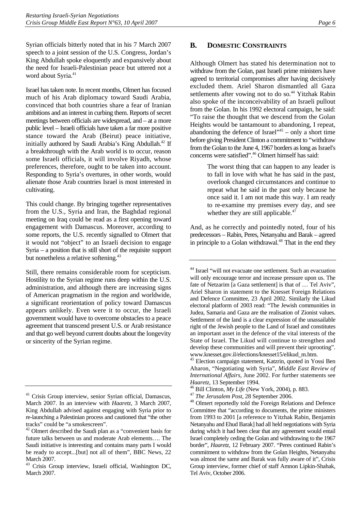Syrian officials bitterly noted that in his 7 March 2007 speech to a joint session of the U.S. Congress, Jordan's King Abdullah spoke eloquently and expansively about the need for Israeli-Palestinian peace but uttered not a word about Syria.<sup>41</sup>

Israel has taken note. In recent months, Olmert has focused much of his Arab diplomacy toward Saudi Arabia, convinced that both countries share a fear of Iranian ambitions and an interest in curbing them. Reports of secret meetings between officials are widespread, and – at a more public level – Israeli officials have taken a far more positive stance toward the Arab (Beirut) peace initiative, initially authored by Saudi Arabia's King Abdullah.<sup>42</sup> If a breakthrough with the Arab world is to occur, reason some Israeli officials, it will involve Riyadh, whose preferences, therefore, ought to be taken into account. Responding to Syria's overtures, in other words, would alienate those Arab countries Israel is most interested in cultivating.

This could change. By bringing together representatives from the U.S., Syria and Iran, the Baghdad regional meeting on Iraq could be read as a first opening toward engagement with Damascus. Moreover, according to some reports, the U.S. recently signalled to Olmert that it would not "object" to an Israeli decision to engage Syria – a position that is still short of the requisite support but nonetheless a relative softening.<sup>43</sup>

Still, there remains considerable room for scepticism. Hostility to the Syrian regime runs deep within the U.S. administration, and although there are increasing signs of American pragmatism in the region and worldwide, a significant reorientation of policy toward Damascus appears unlikely. Even were it to occur, the Israeli government would have to overcome obstacles to a peace agreement that transcend present U.S. or Arab resistance and that go well beyond current doubts about the longevity or sincerity of the Syrian regime.

<span id="page-9-0"></span>Although Olmert has stated his determination not to withdraw from the Golan, past Israeli prime ministers have agreed to territorial compromises after having decisively excluded them. Ariel Sharon dismantled all Gaza settlements after vowing not to do so.<sup>44</sup> Yitzhak Rabin also spoke of the inconceivability of an Israeli pullout from the Golan. In his 1992 electoral campaign, he said: "To raise the thought that we descend from the Golan Heights would be tantamount to abandoning, I repeat, abandoning the defence of Israel" $45$  – only a short time before giving President Clinton a commitment to "withdraw from the Golan to the June 4, 1967 borders as long as Israel's concerns were satisfied"[.46 O](#page-9-6)lmert himself has said:

> The worst thing that can happen to any leader is to fall in love with what he has said in the past, overlook changed circumstances and continue to repeat what he said in the past only because he once said it. I am not made this way. I am ready to re-examine my premises every day, and see whether they are still applicable. $47$

And, as he correctly and pointedly noted, four of his predecessors – Rabin, Peres, Netanyahu and Barak – agreed in principle to a Golan withdrawal.<sup>48</sup> That in the end they

<span id="page-9-1"></span><sup>&</sup>lt;sup>41</sup> Crisis Group interview, senior Syrian official, Damascus, March 2007. In an interview with *Haaretz*, 3 March 2007, King Abdullah advised against engaging with Syria prior to re-launching a Palestinian process and cautioned that "the other tracks" could be "a smokescreen".

<span id="page-9-2"></span><sup>42</sup> Olmert described the Saudi plan as a "convenient basis for future talks between us and moderate Arab elements…. The Saudi initiative is interesting and contains many parts I would be ready to accept...[but] not all of them", BBC News, 22 March 2007.

<span id="page-9-3"></span><sup>43</sup> Crisis Group interview, Israeli official, Washington DC, March 2007.

<span id="page-9-4"></span><sup>44</sup> Israel "will not evacuate one settlement. Such an evacuation will only encourage terror and increase pressure upon us. The fate of Netzarim [a Gaza settlement] is that of ... Tel Aviv", Ariel Sharon in statement to the Knesset Foreign Relations and Defence Committee, 23 April 2002. Similarly the Likud electoral platform of 2003 read: "The Jewish communities in Judea, Samaria and Gaza are the realisation of Zionist values. Settlement of the land is a clear expression of the unassailable right of the Jewish people to the Land of Israel and constitutes an important asset in the defence of the vital interests of the State of Israel. The Likud will continue to strengthen and develop these communities and will prevent their uprooting". www.knesset.gov.il/elections/knesset15/elikud\_m.htm.

<span id="page-9-5"></span><sup>45</sup> Election campaign statement, Katzrin, quoted in Yossi Ben Aharon, "Negotiating with Syria", *Middle East Review of International Affairs*, June 2002. For further statements see

<span id="page-9-6"></span>

<span id="page-9-8"></span><span id="page-9-7"></span>

*Haaretz*, 13 September 1994.<br><sup>46</sup> Bill Clinton, *My Life* (New York, 2004), p. 883.<br><sup>47</sup> *The Jerusalem Post*, 28 September 2006.<br><sup>48</sup> Olmert reportedly told the Foreign Relations and Defence Committee that "according to documents, the prime ministers from 1993 to 2001 [a reference to Yitzhak Rabin, Benjamin Netanyahu and Ehud Barak] had all held negotiations with Syria during which it had been clear that any agreement would entail Israel completely ceding the Golan and withdrawing to the 1967 border", *Haaretz*, 12 February 2007. "Peres continued Rabin's commitment to withdraw from the Golan Heights, Netanyahu was almost the same and Barak was fully aware of it", Crisis Group interview, former chief of staff Amnon Lipkin-Shahak, Tel Aviv, October 2006.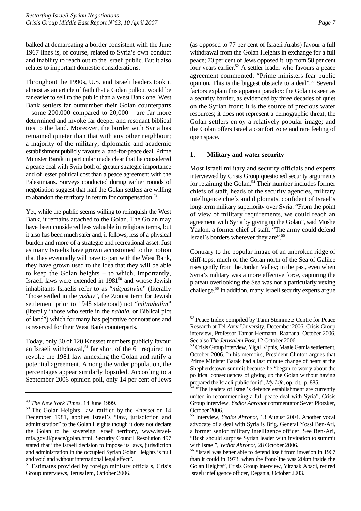balked at demarcating a border consistent with the June 1967 lines is, of course, related to Syria's own conduct and inability to reach out to the Israeli public. But it also relates to important domestic considerations.

Throughout the 1990s, U.S. and Israeli leaders took it almost as an article of faith that a Golan pullout would be far easier to sell to the public than a West Bank one. West Bank settlers far outnumber their Golan counterparts – some  $200,000$  compared to  $20,000$  – are far more determined and invoke far deeper and resonant biblical ties to the land. Moreover, the border with Syria has remained quieter than that with any other neighbour; a majority of the military, diplomatic and academic establishment publicly favours a land-for-peace deal. Prime Minister Barak in particular made clear that he considered a peace deal with Syria both of greater strategic importance and of lesser political cost than a peace agreement with the Palestinians. Surveys conducted during earlier rounds of negotiation suggest that half the Golan settlers are willing to abandon the territory in return for compensation.<sup>[49](#page-10-1)</sup>

Yet, while the public seems willing to relinquish the West Bank, it remains attached to the Golan. The Golan may have been considered less valuable in religious terms, but it also has been much safer and, it follows, less of a physical burden and more of a strategic and recreational asset. Just as many Israelis have grown accustomed to the notion that they eventually will have to part with the West Bank, they have grown used to the idea that they will be able to keep the Golan heights – to which, importantly, Israeli laws were extended in 1981<sup>50</sup> and whose Jewish inhabitants Israelis refer to as "*mityashvim*" (literally "those settled in the *yishuv*", the Zionist term for Jewish settlement prior to 1948 statehood) not "*mitnahalim*" (literally "those who settle in the *nahala*, or Biblical plot of land") which for many has pejorative connotations and is reserved for their West Bank counterparts.

Today, only 30 of 120 Knesset members publicly favour an Israeli withdrawal,<sup>51</sup> far short of the 61 required to revoke the 1981 law annexing the Golan and ratify a potential agreement. Among the wider population, the percentages appear similarly lopsided. According to a September 2006 opinion poll, only 14 per cent of Jews

(as opposed to 77 per cent of Israeli Arabs) favour a full withdrawal from the Golan Heights in exchange for a full peace; 70 per cent of Jews opposed it, up from 58 per cent four years earlier.<sup>52</sup> A settler leader who favours a peace agreement commented: "Prime ministers fear public opinion. This is the biggest obstacle to a deal"[.53 S](#page-10-5)everal factors explain this apparent paradox: the Golan is seen as a security barrier, as evidenced by three decades of quiet on the Syrian front; it is the source of precious water resources; it does not represent a demographic threat; the Golan settlers enjoy a relatively popular image; and the Golan offers Israel a comfort zone and rare feeling of open space.

### <span id="page-10-0"></span>**1. Military and water security**

Most Israeli military and security officials and experts interviewed by Crisis Group questioned security arguments for retaining the Golan.<sup>54</sup> Their number includes former chiefs of staff, heads of the security agencies, military intelligence chiefs and diplomats, confident of Israel's long-term military superiority over Syria. "From the point of view of military requirements, we could reach an agreement with Syria by giving up the Golan", said Moshe Yaalon, a former chief of staff. "The army could defend Israel's borders wherever they are".[55](#page-10-7) 

Contrary to the popular image of an unbroken ridge of cliff-tops, much of the Golan north of the Sea of Galilee rises gently from the Jordan Valley; in the past, even when Syria's military was a more effective force, capturing the plateau overlooking the Sea was not a particularly vexing challenge.[56 I](#page-10-8)n addition, many Israeli security experts argue

<span id="page-10-2"></span><span id="page-10-1"></span>

<sup>&</sup>lt;sup>49</sup> *The New York Times*, 14 June 1999.<br><sup>50</sup> The Golan Heights Law, ratified by the Knesset on 14 December 1981, applies Israel's "law, jurisdiction and administration" to the Golan Heights though it does not declare the Golan to be sovereign Israeli territory, www.israelmfa.gov.il/peace/golan.html. Security Council Resolution 497 stated that "the Israeli decision to impose its laws, jurisdiction and administration in the occupied Syrian Golan Heights is null and void and without international legal effect".

<span id="page-10-3"></span><sup>&</sup>lt;sup>51</sup> Estimates provided by foreign ministry officials, Crisis Group interviews, Jerusalem, October 2006.

<span id="page-10-4"></span><sup>52</sup> Peace Index compiled by Tami Steinmetz Centre for Peace Research at Tel Aviv University, December 2006. Crisis Group interview, Professor Tamar Hermann, Raanana, October 2006.

<span id="page-10-5"></span>See also *The Jerusalem Post*, 12 October 2006. 53 Crisis Group interview, Yigal Kipnis, Maale Gamla settlement, October 2006. In his memoirs, President Clinton argues that Prime Minister Barak had a last minute change of heart at the Shepherdstown summit because he "began to worry about the political consequences of giving up the Golan without having prepared the Israeli public for it", *My Life*, op. cit., p. 885.<br><sup>54</sup> "The leaders of Israel's defence establishment are currently

<span id="page-10-6"></span>united in recommending a full peace deal with Syria", Crisis Group interview, *Yediot Ahronot* commentator Sever Plotzker, October 2006.

<span id="page-10-7"></span><sup>55</sup> Interview, *Yediot Ahronot*, 13 August 2004. Another vocal advocate of a deal with Syria is Brig. General Yossi Ben-Ari, a former senior military intelligence officer. See Ben-Ari, "Bush should surprise Syrian leader with invitation to summit

<span id="page-10-8"></span>with Israel", *Yediot Ahronot*, 28 October 2006.<br><sup>56</sup> "Israel was better able to defend itself from invasion in 1967 than it could in 1973, when the front-line was 20km inside the Golan Heights", Crisis Group interview, Yitzhak Abadi, retired Israeli intelligence officer, Degania, October 2003.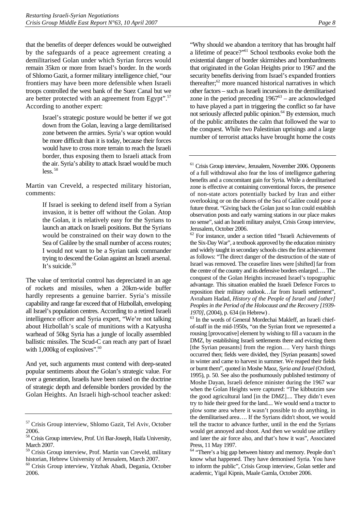that the benefits of deeper defences would be outweighed by the safeguards of a peace agreement creating a demilitarised Golan under which Syrian forces would remain 35km or more from Israel's border. In the words of Shlomo Gazit, a former military intelligence chief, "our frontiers may have been more defensible when Israeli troops controlled the west bank of the Suez Canal but we are better protected with an agreement from Egypt"[.57](#page-11-0) According to another expert:

> Israel's strategic posture would be better if we got down from the Golan, leaving a large demilitarised zone between the armies. Syria's war option would be more difficult than it is today, because their forces would have to cross more terrain to reach the Israeli border, thus exposing them to Israeli attack from the air. Syria's ability to attack Israel would be much  $less$ <sup>58</sup>

Martin van Creveld, a respected military historian, comments:

> If Israel is seeking to defend itself from a Syrian invasion, it is better off without the Golan. Atop the Golan, it is relatively easy for the Syrians to launch an attack on Israeli positions. But the Syrians would be constrained on their way down to the Sea of Galilee by the small number of access routes; I would not want to be a Syrian tank commander trying to descend the Golan against an Israeli arsenal. It's suicide.<sup>[59](#page-11-2)</sup>

The value of territorial control has depreciated in an age of rockets and missiles, when a 20km-wide buffer hardly represents a genuine barrier. Syria's missile capability and range far exceed that of Hizbollah, enveloping all Israel's population centres. According to a retired Israeli intelligence officer and Syria expert, "We're not talking about Hizbollah's scale of munitions with a Katyusha warhead of 50kg Syria has a jungle of locally assembled ballistic missiles. The Scud-C can reach any part of Israel with  $1,000$ kg of explosives".<sup>60</sup>

And yet, such arguments must contend with deep-seated popular sentiments about the Golan's strategic value. For over a generation, Israelis have been raised on the doctrine of strategic depth and defensible borders provided by the Golan Heights. An Israeli high-school teacher asked:

"Why should we abandon a territory that has brought half a lifetime of peace?"[61](#page-11-4) School textbooks evoke both the existential danger of border skirmishes and bombardments that originated in the Golan Heights prior to 1967 and the security benefits deriving from Israel's expanded frontiers thereafter; $62$  more nuanced historical narratives in which other factors – such as Israeli incursions in the demilitarised zone in the period preceding  $1967<sup>63</sup>$  – are acknowledged to have played a part in triggering the conflict so far have not seriously affected public opinion.<sup>64</sup> By extension, much of the public attributes the calm that followed the war to the conquest. While two Palestinian uprisings and a large number of terrorist attacks have brought home the costs

<span id="page-11-6"></span>*1970]*, (2004), p. 634 (in Hebrew) .<br><sup>63</sup> In the words of General Mordechai Makleff, an Israeli chiefof-staff in the mid-1950s, "on the Syrian front we represented a rousing [provocative] element by wishing to fill a vacuum in the DMZ, by establishing Israeli settlements there and evicting them [the Syrian peasants] from the region.... Very harsh things occurred then; fields were divided, they [Syrian peasants] sowed in winter and came to harvest in summer. We reaped their fields or burnt them", quoted in Moshe Maoz, *Syria and Israel* (Oxford, 1995), p. 50. See also the posthumously published testimony of Moshe Dayan, Israeli defence minister during the 1967 war when the Golan Heights were captured: "The kibbutzim saw the good agricultural land [in the DMZ].... They didn't even try to hide their greed for the land.... We would send a tractor to plow some area where it wasn't possible to do anything, in the demilitarised area…. If the Syrians didn't shoot, we would tell the tractor to advance further, until in the end the Syrians would get annoyed and shoot. And then we would use artillery and later the air force also, and that's how it was", Associated Press, 11 May 1997.

<span id="page-11-0"></span><sup>57</sup> Crisis Group interview, Shlomo Gazit, Tel Aviv, October 2006.

<span id="page-11-1"></span><sup>58</sup> Crisis Group interview, Prof. Uri Bar-Joseph, Haifa University, March 2007.

<span id="page-11-2"></span><sup>59</sup> Crisis Group interview, Prof. Martin van Creveld, military historian, Hebrew University of Jerusalem, March 2007.

<span id="page-11-3"></span><sup>60</sup> Crisis Group interview, Yitzhak Abadi, Degania, October 2006.

<span id="page-11-4"></span><sup>&</sup>lt;sup>61</sup> Crisis Group interview, Jerusalem, November 2006. Opponents of a full withdrawal also fear the loss of intelligence gathering benefits and a concomitant gain for Syria. While a demilitarised zone is effective at containing conventional forces, the presence of non-state actors potentially backed by Iran and either overlooking or on the shores of the Sea of Galilee could pose a future threat. "Giving back the Golan just so Iran could establish observation posts and early warning stations in our place makes no sense", said an Israeli military analyst, Crisis Group interview, Jerusalem, October 2006.

<span id="page-11-5"></span> $62$  For instance, under a section titled "Israeli Achievements of the Six-Day War", a textbook approved by the education ministry and widely taught in secondary schools cites the first achievement as follows: "The direct danger of the destruction of the state of Israel was removed. The ceasefire lines were [shifted] far from the centre of the country and its defensive borders enlarged…. The conquest of the Golan Heights increased Israel's topographic advantage. This situation enabled the Israeli Defence Forces to reposition their military outlook…far from Israeli settlement", Avraham Hadad, *History of the People of Israel and [other] Peoples in the Period of the Holocaust and the Recovery [1939-*

<span id="page-11-7"></span><sup>&</sup>lt;sup>64</sup> "There's a big gap between history and memory. People don't know what happened. They have demonised Syria. You have to inform the public", Crisis Group interview, Golan settler and academic, Yigal Kipnis, Maale Gamla, October 2006.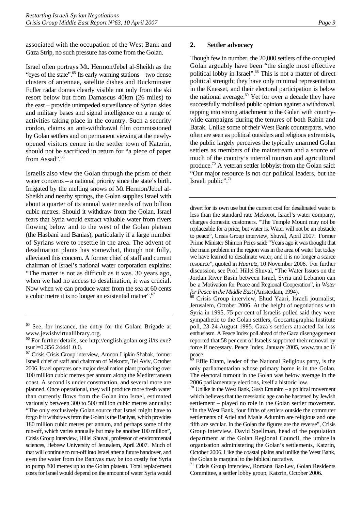associated with the occupation of the West Bank and Gaza Strip, no such pressure has come from the Golan.

Israel often portrays Mt. Hermon/Jebel al-Sheikh as the "eyes of the state".<sup>65</sup> Its early warning stations – two dense clusters of antennae, satellite dishes and Buckminster Fuller radar domes clearly visible not only from the ski resort below but from Damascus 40km (26 miles) to the east – provide unimpeded surveillance of Syrian skies and military bases and signal intelligence on a range of activities taking place in the country. Such a security cordon, claims an anti-withdrawal film commissioned by Golan settlers and on permanent viewing at the newlyopened visitors centre in the settler town of Katzrin, should not be sacrificed in return for "a piece of paper from Assad".<sup>66</sup>

Israelis also view the Golan through the prism of their water concerns – a national priority since the state's birth. Irrigated by the melting snows of Mt Hermon/Jebel al-Sheikh and nearby springs, the Golan supplies Israel with about a quarter of its annual water needs of two billion cubic metres. Should it withdraw from the Golan, Israel fears that Syria would extract valuable water from rivers flowing below and to the west of the Golan plateau (the Hasbani and Banias), particularly if a large number of Syrians were to resettle in the area. The advent of desalination plants has somewhat, though not fully, alleviated this concern. A former chief of staff and current chairman of Israel's national water corporation explains: "The matter is not as difficult as it was. 30 years ago, when we had no access to desalination, it was crucial. Now when we can produce water from the sea at 60 cents a cubic metre it is no longer an existential matter"[.67](#page-12-3)

#### <span id="page-12-0"></span>**2. Settler advocacy**

Though few in number, the 20,000 settlers of the occupied Golan arguably have been "the single most effective political lobby in Israel".<sup>68</sup> This is not a matter of direct political strength; they have only minimal representation in the Knesset, and their electoral participation is below the national average. $69$  Yet for over a decade they have successfully mobilised public opinion against a withdrawal, tapping into strong attachment to the Golan with countrywide campaigns during the tenures of both Rabin and Barak. Unlike some of their West Bank counterparts, who often are seen as political outsiders and religious extremists, the public largely perceives the typically unarmed Golan settlers as members of the mainstream and a source of much of the country's internal tourism and agricultural produce.[70 A](#page-12-6) veteran settler lobbyist from the Golan said: "Our major resource is not our political leaders, but the Israeli public".<sup>71</sup>

divert for its own use but the current cost for desalinated water is less than the standard rate Mekorot, Israel's water company, charges domestic customers. "The Temple Mount may not be replaceable for a price, but water is. Water will not be an obstacle to peace", Crisis Group interview, Shuval, April 2007. Former Prime Minister Shimon Peres said: "Years ago it was thought that the main problem in the region was in the area of water but today we have learned to desalinate water, and it is no longer a scarce resource", quoted in *Haaretz*, 10 November 2006. For further discussion, see Prof. Hillel Shuval, "The Water Issues on the Jordan River Basin between Israel, Syria and Lebanon can be a Motivation for Peace and Regional Cooperation", in *Water for Peace in the Middle East* (Amsterdam, 1994).<br><sup>68</sup> Crisis Group interview, Ehud Yaari, Israeli journalist,

<span id="page-12-4"></span>Jerusalem, October 2006. At the height of negotiations with Syria in 1995, 75 per cent of Israelis polled said they were sympathetic to the Golan settlers, Geocartographia Institute poll, 23-24 August 1995. Gaza's settlers attracted far less enthusiasm. A Peace Index poll ahead of the Gaza disengagement reported that 58 per cent of Israelis supported their removal by force if necessary. Peace Index, January 2005, www.tau.ac il/ peace.

<span id="page-12-5"></span> $69$  Effie Eitam, leader of the National Religious party, is the only parliamentarian whose primary home is in the Golan. The electoral turnout in the Golan was below average in the 2006 parliamentary elections, itself a historic low.

<span id="page-12-6"></span> $70$  Unlike in the West Bank, Gush Emunim – a political movement which believes that the messianic age can be hastened by Jewish settlement – played no role in the Golan settler movement. "In the West Bank, four fifths of settlers outside the commuter settlements of Ariel and Maale Adumim are religious and one fifth are secular. In the Golan the figures are the reverse", Crisis Group interview, David Spellman, head of the population department at the Golan Regional Council, the umbrella organisation administering the Golan's settlements, Katzrin, October 2006. Like the coastal plains and unlike the West Bank, the Golan is marginal to the biblical narrative.

<span id="page-12-7"></span>71 Crisis Group interview, Romana Bar-Lev, Golan Residents Committee, a settler lobby group, Katzrin, October 2006.

<span id="page-12-1"></span><sup>65</sup> See, for instance, the entry for the Golani Brigade at www.jewishvirtuallibrary.org.

<span id="page-12-2"></span><sup>66</sup> For further details, see http://english.golan.org.il/ts.exe? tsurl=0.356.24441.0.0.

<span id="page-12-3"></span><sup>67</sup> Crisis Crisis Group interview, Amnon Lipkin-Shahak, former Israeli chief of staff and chairman of Mekorot, Tel Aviv, October 2006. Israel operates one major desalination plant producing over 100 million cubic metres per annum along the Mediterranean coast. A second is under construction, and several more are planned. Once operational, they will produce more fresh water than currently flows from the Golan into Israel, estimated variously between 300 to 500 million cubic metres annually: "The only exclusively Golan source that Israel might have to forgo if it withdraws from the Golan is the Baniyas, which provides 180 million cubic metres per annum, and perhaps some of the run-off, which varies annually but may be another 100 million", Crisis Group interview, Hillel Shuval, professor of environmental sciences, Hebrew University of Jerusalem, April 2007. Much of that will continue to run-off into Israel after a future handover, and even the water from the Baniyas may be too costly for Syria to pump 800 metres up to the Golan plateau. Total replacement costs for Israel would depend on the amount of water Syria would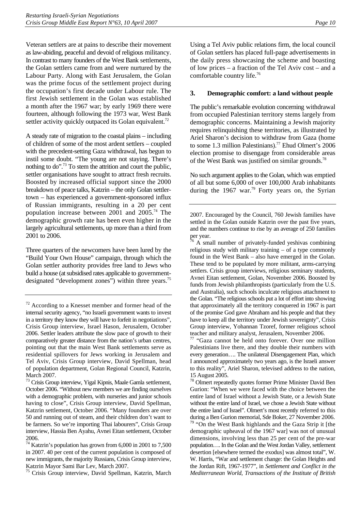Veteran settlers are at pains to describe their movement as law-abiding, peaceful and devoid of religious militancy. In contrast to many founders of the West Bank settlements, the Golan settlers came from and were nurtured by the Labour Party. Along with East Jerusalem, the Golan was the prime focus of the settlement project during the occupation's first decade under Labour rule. The first Jewish settlement in the Golan was established a month after the 1967 war; by early 1969 there were fourteen, although following the 1973 war, West Bank settler activity quickly outpaced its Golan equivalent.<sup>72</sup>

A steady rate of migration to the coastal plains – including of children of some of the most ardent settlers – coupled with the precedent-setting Gaza withdrawal, has begun to instil some doubt. "The young are not staying. There's nothing to do".[73 T](#page-13-2)o stem the attrition and court the public, settler organisations have sought to attract fresh recruits. Boosted by increased official support since the 2000 breakdown of peace talks, Katzrin – the only Golan settlertown – has experienced a government-sponsored influx of Russian immigrants, resulting in a 20 per cent population increase between 2001 and  $2005.^{74}$  The demographic growth rate has been even higher in the largely agricultural settlements, up more than a third from 2001 to 2006.

Three quarters of the newcomers have been lured by the "Build Your Own House" campaign, through which the Golan settler authority provides free land to Jews who build a house (at subsidised rates applicable to governmentdesignated "development zones") within three years.<sup>75</sup>

<span id="page-13-4"></span>75 Crisis Group interview, David Spellman, Katzrin, March

Using a Tel Aviv public relations firm, the local council of Golan settlers has placed full-page advertisements in the daily press showcasing the scheme and boasting of low prices – a fraction of the Tel Aviv cost – and a comfortable country life.<sup>76</sup>

### <span id="page-13-0"></span>**3. Demographic comfort: a land without people**

The public's remarkable evolution concerning withdrawal from occupied Palestinian territory stems largely from demographic concerns. Maintaining a Jewish majority requires relinquishing these territories, as illustrated by Ariel Sharon's decision to withdraw from Gaza (home to some 1.3 million Palestinians).<sup>77</sup> Ehud Olmert's 2006 election promise to disengage from considerable areas of the West Bank was justified on similar grounds.<sup>78</sup>

No such argument applies to the Golan, which was emptied of all but some 6,000 of over 100,000 Arab inhabitants during the 1967 war.<sup>79</sup> Forty years on, the Syrian

<span id="page-13-5"></span> $76$  A small number of privately-funded yeshivas combining religious study with military training – of a type commonly found in the West Bank – also have emerged in the Golan. These tend to be populated by more militant, arms-carrying settlers. Crisis group interviews, religious seminary students, Avnei Eitan settlement, Golan, November 2006. Boosted by funds from Jewish philanthropists (particularly from the U.S. and Australia), such schools inculcate religious attachment to the Golan. "The religious schools put a lot of effort into showing that approximately all the territory conquered in 1967 is part of the promise God gave Abraham and his people and that they have to keep all the territory under Jewish sovereignty", Crisis Group interview, Yohannan Tzoref, former religious school teacher and military analyst, Jerusalem, November 2006.

<span id="page-13-6"></span>77 "Gaza cannot be held onto forever. Over one million Palestinians live there, and they double their numbers with every generation…. The unilateral Disengagement Plan, which I announced approximately two years ago, is the Israeli answer to this reality", Ariel Sharon, televised address to the nation, 15 August 2005.

<span id="page-13-7"></span>78 Olmert repeatedly quotes former Prime Minister David Ben Gurion: "When we were faced with the choice between the entire land of Israel without a Jewish State, or a Jewish State without the entire land of Israel, we chose a Jewish State without the entire land of Israel". Olmert's most recently referred to this during a Ben Gurion memorial, Sde Boker, 27 November 2006.

<span id="page-13-8"></span><sup>79</sup> "On the West Bank highlands and the Gaza Strip it [the demographic upheaval of the 1967 war] was not of unusual dimensions, involving less than 25 per cent of the pre-war population…. In the Golan and the West Jordan Valley, settlement desertion [elsewhere termed the exodus] was almost total", W. W. Harris, "War and settlement change: the Golan Heights and the Jordan Rift, 1967-1977", in *Settlement and Conflict in the Mediterranean World*, *Transactions of the Institute of British* 

<span id="page-13-1"></span> $72$  According to a Knesset member and former head of the internal security agency, "no Israeli government wants to invest in a territory they know they will have to forfeit in negotiations", Crisis Group interview, Israel Hason, Jerusalem, October 2006. Settler leaders attribute the slow pace of growth to their comparatively greater distance from the nation's urban centres, pointing out that the main West Bank settlements serve as residential spillovers for Jews working in Jerusalem and Tel Aviv, Crisis Group interview, David Spellman, head of population department, Golan Regional Council, Katzrin, March 2007.

<span id="page-13-2"></span><sup>73</sup> Crisis Group interview, Yigal Kipnis, Maale Gamla settlement, October 2006. "Without new members we are finding ourselves with a demographic problem, with nurseries and junior schools having to close", Crisis Group interview, David Spellman, Katzrin settlement, October 2006. "Many founders are over 50 and running out of steam, and their children don't want to be farmers. So we're importing Thai labourers", Crisis Group interview, Hassia Ben Ayahu, Avnei Eitan settlement, October 2006.

<span id="page-13-3"></span> $^{74}$  Katzrin's population has grown from 6,000 in 2001 to 7,500  $\,$ in 2007. 40 per cent of the current population is composed of new immigrants, the majority Russians, Crisis Group interview, Katzrin Mayor Sami Bar Lev, March 2007.

<sup>2007.</sup> Encouraged by the Council, 760 Jewish families have settled in the Golan outside Katzrin over the past five years, and the numbers continue to rise by an average of 250 families per year.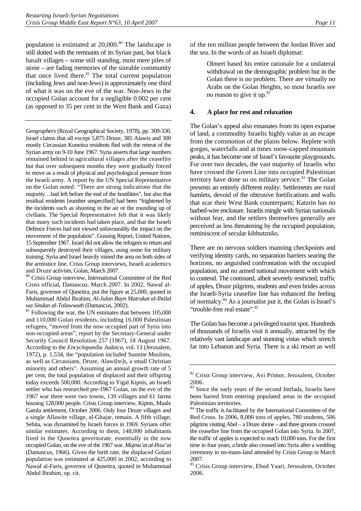population is estimated at  $20,000$ .<sup>80</sup> The landscape is still dotted with the remnants of its Syrian past, but black basalt villages – some still standing, most mere piles of stone – are fading memories of the sizeable community that once lived there.<sup>81</sup> The total current population (including Jews and non-Jews) is approximately one third of what it was on the eve of the war. Non-Jews in the occupied Golan account for a negligible 0.002 per cent (as opposed to 35 per cent in the West Bank and Gaza)

*Geographers* (Royal Geographical Society, 1978), pp. 309-330. Israel claims that all except 5,875 Druze, 385 Alawis and 300 mostly Circassian Kuneitra residents fled with the retreat of the Syrian army on 9-10 June 1967. Syria asserts that large numbers remained behind in agricultural villages after the ceasefire but that over subsequent months they were gradually forced to move as a result of physical and psychological pressure from the Israeli army. A report by the UN Special Representative on the Golan noted: "There are strong indications that the majority…had left before the end of the hostilities", but also that residual residents [number unspecified] had been "frightened by the incidents such as shooting in the air or the rounding up of civilians. The Special Representative felt that it was likely that many such incidents had taken place, and that the Israeli Defence Forces had not viewed unfavourably the impact on the movement of the population". Gussing Report, United Nations, 15 September 1967. Israel did not allow the refugees to return and subsequently destroyed their villages, using some for military training. Syria and Israel heavily mined the area on both sides of the armistice line. Crisis Group interviews, Israeli academics and Druze activists, Golan, March 2007.

<span id="page-14-1"></span>80 Crisis Group interview, International Committee of the Red Cross official, Damascus, March 2007. In 2002, Nawaf al-Faris, governor of Quneitra, put the figure at 25,000, quoted in Muhammad Abdul Ibrahim, *Al-Julan Bayn Matrakat al-Ihtilal* 

<span id="page-14-2"></span>*wa Sindan al-Talawwuth* (Damascus, 2002).<br><sup>81</sup> Following the war, the UN estimates that between 105,000 and 110,000 Golan residents, including 16,000 Palestinian refugees, "moved from the now occupied part of Syria into non-occupied areas", report by the Secretary-General under Security Council Resolution 257 (1967), 18 August 1967. According to the *Encyclopaedia Judaica*, vol. 13 (Jerusalem, 1972), p. 1,534, the "population included Sunnite Muslims, as well as Circassians, Druze, Alawi[te]s, a small Christian minority and others". Assuming an annual growth rate of 5 per cent, the total population of displaced and their offspring today exceeds 500,000. According to Yigal Kipnis, an Israeli settler who has researched pre-1967 Golan, on the eve of the 1967 war there were two towns, 139 villages and 61 farms housing 128,000 people. Crisis Group interview, Kipnis, Maale Gamla settlement, October 2006. Only four Druze villages and a single Allawite village, al-Ghajar, remain. A fifth village, Sehita, was dynamited by Israeli forces in 1969. Syrians offer similar estimates. According to them, 148,000 inhabitants lived in the Quneitra governorate, essentially in the now occupied Golan, on the eve of the 1967 war. *Majmu'at al-Ihsa'at*  (Damascus, 1966). Given the birth rate, the displaced Golani population was estimated at 425,000 in 2002, according to Nawaf al-Faris, governor of Quneitra, quoted in Muhammad Abdul Ibrahim, op. cit.

of the ten million people between the Jordan River and the sea. In the words of an Israeli diplomat:

> Olmert based his entire rationale for a unilateral withdrawal on the demographic problem but in the Golan there is no problem. There are virtually no Arabs on the Golan Heights, so most Israelis see no reason to give it up.<sup>[82](#page-14-3)</sup>

### <span id="page-14-0"></span>**4. A place for rest and relaxation**

The Golan's appeal also emanates from its open expanse of land, a commodity Israelis highly value as an escape from the commotion of the plains below. Replete with gorges, waterfalls and at times snow-capped mountain peaks, it has become one of Israel's favourite playgrounds. For over two decades, the vast majority of Israelis who have crossed the Green Line into occupied Palestinian territory have done so on military service.<sup>83</sup> The Golan presents an entirely different reality. Settlements are rural hamlets, devoid of the obtrusive fortifications and walls that scar their West Bank counterparts; Katzrin has no barbed-wire enclosure. Israelis mingle with Syrian nationals without fear, and the settlers themselves generally are perceived as less threatening by the occupied population, reminiscent of secular kibbutzniks.

There are no nervous soldiers manning checkpoints and verifying identity cards, no separation barriers searing the horizons, no anguished confrontation with the occupied population, and no armed national movement with which to contend. The continued, albeit severely restricted, traffic of apples, Druze pilgrims, students and even brides across the Israeli-Syria ceasefire line has enhanced the feeling of normalcy.[84 A](#page-14-5)s a journalist put it, the Golan is Israel's "trouble-free real estate".<sup>85</sup>

The Golan has become a privileged tourist spot. Hundreds of thousands of Israelis visit it annually, attracted by the relatively vast landscape and stunning vistas which stretch far into Lebanon and Syria. There is a ski resort as well

<span id="page-14-3"></span><sup>82</sup> Crisis Group interview, Avi Primor, Jerusalem, October 2006.

<span id="page-14-4"></span>Since the early years of the second Intifada, Israelis have been barred from entering populated areas in the occupied Palestinian territories.

<span id="page-14-5"></span><sup>84</sup> The traffic is facilitated by the International Committee of the Red Cross. In 2006, 8,000 tons of apples, 780 students, 506 pilgrims visiting Abel – a Druze shrine – and three grooms crossed the ceasefire line from the occupied Golan into Syria. In 2007, the traffic of apples is expected to reach 10,000 tons. For the first time in four years, a bride also crossed into Syria after a wedding ceremony in no-mans-land attended by Crisis Group in March 2007.

<span id="page-14-6"></span><sup>85</sup> Crisis Group interview, Ehud Yaari, Jerusalem, October 2006.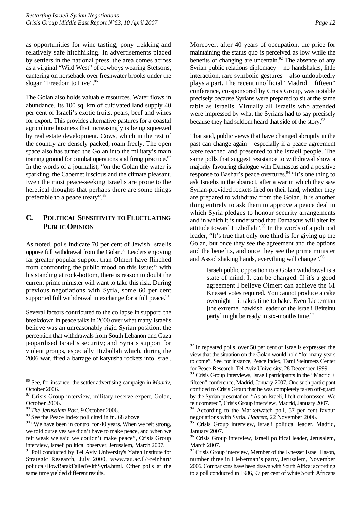as opportunities for wine tasting, pony trekking and relatively safe hitchhiking. In advertisements placed by settlers in the national press, the area comes across as a virginal "Wild West" of cowboys wearing Stetsons, cantering on horseback over freshwater brooks under the slogan "Freedom to Live".<sup>86</sup>

The Golan also holds valuable resources. Water flows in abundance. Its 100 sq. km of cultivated land supply 40 per cent of Israeli's exotic fruits, pears, beef and wines for export. This provides alternative pastures for a coastal agriculture business that increasingly is being squeezed by real estate development. Cows, which in the rest of the country are densely packed, roam freely. The open space also has turned the Golan into the military's main training ground for combat operations and firing practice.<sup>87</sup> In the words of a journalist, "on the Golan the water is sparkling, the Cabernet luscious and the climate pleasant. Even the most peace-seeking Israelis are prone to the heretical thoughts that perhaps there are some things preferable to a peace treaty".[88](#page-15-3)

# <span id="page-15-0"></span>**C. POLITICAL SENSITIVITY TO FLUCTUATING PUBLIC OPINION**

As noted, polls indicate 70 per cent of Jewish Israelis oppose full withdrawal from the Golan[.89 L](#page-15-4)eaders enjoying far greater popular support than Olmert have flinched from confronting the public mood on this issue;  $\frac{90}{9}$  with his standing at rock-bottom, there is reason to doubt the current prime minister will want to take this risk. During previous negotiations with Syria, some 60 per cent supported full withdrawal in exchange for a full peace.<sup>91</sup>

Several factors contributed to the collapse in support: the breakdown in peace talks in 2000 over what many Israelis believe was an unreasonably rigid Syrian position; the perception that withdrawals from South Lebanon and Gaza jeopardised Israel's security; and Syria's support for violent groups, especially Hizbollah which, during the 2006 war, fired a barrage of katyusha rockets into Israel. Moreover, after 40 years of occupation, the price for maintaining the status quo is perceived as low while the benefits of changing are uncertain. $92$  The absence of any Syrian public relations diplomacy – no handshakes, little interaction, rare symbolic gestures – also undoubtedly plays a part. The recent unofficial "Madrid + fifteen" conference, co-sponsored by Crisis Group, was notable precisely because Syrians were prepared to sit at the same table as Israelis. Virtually all Israelis who attended were impressed by what the Syrians had to say precisely because they had seldom heard that side of the story.<sup>93</sup>

That said, public views that have changed abruptly in the past can change again – especially if a peace agreement were reached and presented to the Israeli people. The same polls that suggest resistance to withdrawal show a majority favouring dialogue with Damascus and a positive response to Bashar's peace overtures.<sup>94</sup> "It's one thing to ask Israelis in the abstract, after a war in which they saw Syrian-provided rockets fired on their land, whether they are prepared to withdraw from the Golan. It is another thing entirely to ask them to approve a peace deal in which Syria pledges to honour security arrangements and in which it is understood that Damascus will alter its attitude toward Hizbollah".<sup>95</sup> In the words of a political leader, "It's true that only one third is for giving up the Golan, but once they see the agreement and the options and the benefits, and once they see the prime minister and Assad shaking hands, everything will change".<sup>96</sup>

> Israeli public opposition to a Golan withdrawal is a state of mind. It can be changed. If it's a good agreement I believe Olmert can achieve the 61 Knesset votes required. You cannot produce a cake overnight – it takes time to bake. Even Lieberman [the extreme, hawkish leader of the Israeli Beiteinu party] might be ready in six-months time. $97$

<span id="page-15-1"></span><sup>86</sup> See, for instance, the settler advertising campaign in *Maariv*, October 2006.

<span id="page-15-2"></span><sup>&</sup>lt;sup>87</sup> Crisis Group interview, military reserve expert, Golan, October 2006.

<span id="page-15-3"></span><sup>88</sup> *The Jerusalem Post*, 9 October 2006.

<span id="page-15-4"></span><sup>89</sup> See the Peace Index poll cited in fn. 68 above.

<span id="page-15-5"></span> $90$  "We have been in control for 40 years. When we felt strong, we told ourselves we didn't have to make peace, and when we felt weak we said we couldn't make peace", Crisis Group interview, Israeli political observer, Jerusalem, March 2007.

<span id="page-15-6"></span><sup>&</sup>lt;sup>91</sup> Poll conducted by Tel Aviv University's Yafeh Institute for Strategic Research, July 2000, www.tau.ac.il/~reinhart/ political/HowBarakFailedWithSyria.html. Other polls at the same time yielded different results.

<span id="page-15-7"></span> $92$  In repeated polls, over 50 per cent of Israelis expressed the view that the situation on the Golan would hold "for many years to come". See, for instance, Peace Index, Tami Steinmetz Center for Peace Research, Tel Aviv University, 28 December 1999.

<span id="page-15-8"></span> $93$  Crisis Group interviews, Israeli participants in the "Madrid + fifteen" conference, Madrid, January 2007. One such participant confided to Crisis Group that he was completely taken off-guard by the Syrian presentation. "As an Israeli, I felt embarrassed. We felt cornered", Crisis Group interview, Madrid, January 2007.

<span id="page-15-9"></span>According to the Marketwatch poll, 57 per cent favour negotiations with Syria. *Haaretz*, 22 November 2006.

<span id="page-15-10"></span>Crisis Group interview, Israeli political leader, Madrid, January 2007.

<span id="page-15-11"></span><sup>&</sup>lt;sup>96</sup> Crisis Group interview, Israeli political leader, Jerusalem, March 2007.

<span id="page-15-12"></span><sup>&</sup>lt;sup>97</sup> Crisis Group interview, Member of the Knesset Israel Hason, number three in Lieberman's party, Jerusalem, November 2006. Comparisons have been drawn with South Africa: according to a poll conducted in 1986, 97 per cent of white South Africans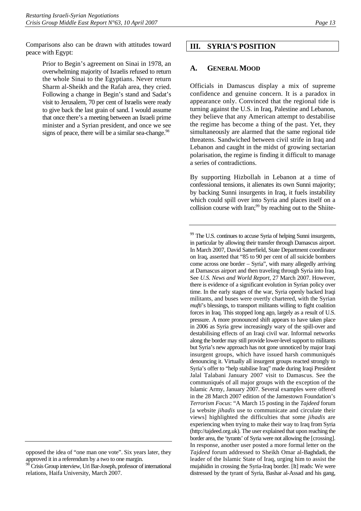Comparisons also can be drawn with attitudes toward peace with Egypt:

> Prior to Begin's agreement on Sinai in 1978, an overwhelming majority of Israelis refused to return the whole Sinai to the Egyptians. Never return Sharm al-Sheikh and the Rafah area, they cried. Following a change in Begin's stand and Sadat's visit to Jerusalem, 70 per cent of Israelis were ready to give back the last grain of sand. I would assume that once there's a meeting between an Israeli prime minister and a Syrian president, and once we see signs of peace, there will be a similar sea-change.  $98$

# <span id="page-16-0"></span>**III. SYRIA'S POSITION**

### <span id="page-16-1"></span>**A. GENERAL MOOD**

Officials in Damascus display a mix of supreme confidence and genuine concern. It is a paradox in appearance only. Convinced that the regional tide is turning against the U.S. in Iraq, Palestine and Lebanon, they believe that any American attempt to destabilise the regime has become a thing of the past. Yet, they simultaneously are alarmed that the same regional tide threatens. Sandwiched between civil strife in Iraq and Lebanon and caught in the midst of growing sectarian polarisation, the regime is finding it difficult to manage a series of contradictions.

By supporting Hizbollah in Lebanon at a time of confessional tensions, it alienates its own Sunni majority; by backing Sunni insurgents in Iraq, it fuels instability which could spill over into Syria and places itself on a collision course with Iran;<sup>99</sup> by reaching out to the Shiite-

opposed the idea of "one man one vote". Six years later, they approved it in a referendum by a two to one margin.

<span id="page-16-2"></span> $98$  Crisis Group interview, Uri Bar-Joseph, professor of international relations, Haifa University, March 2007.

<span id="page-16-3"></span><sup>&</sup>lt;sup>99</sup> The U.S. continues to accuse Syria of helping Sunni insurgents, in particular by allowing their transfer through Damascus airport. In March 2007, David Satterfield, State Department coordinator on Iraq, asserted that "85 to 90 per cent of all suicide bombers come across one border – Syria", with many allegedly arriving at Damascus airport and then traveling through Syria into Iraq. See *U.S. News and World Report*, 27 March 2007. However, there is evidence of a significant evolution in Syrian policy over time. In the early stages of the war, Syria openly backed Iraqi militants, and buses were overtly chartered, with the Syrian *mufti*'s blessings, to transport militants willing to fight coalition forces in Iraq. This stopped long ago, largely as a result of U.S. pressure. A more pronounced shift appears to have taken place in 2006 as Syria grew increasingly wary of the spill-over and destabilising effects of an Iraqi civil war. Informal networks along the border may still provide lower-level support to militants but Syria's new approach has not gone unnoticed by major Iraqi insurgent groups, which have issued harsh communiqués denouncing it. Virtually all insurgent groups reacted strongly to Syria's offer to "help stabilise Iraq" made during Iraqi President Jalal Talabani January 2007 visit to Damascus. See the communiqués of all major groups with the exception of the Islamic Army, January 2007. Several examples were offered in the 28 March 2007 edition of the Jamestown Foundation's *Terrorism Focus*: "A March 15 posting in the *Tajdeed* forum [a website *jihadis* use to communicate and circulate their views] highlighted the difficulties that some *jihadis* are experiencing when trying to make their way to Iraq from Syria (http://tajdeed.org.uk). The user explained that upon reaching the border area, the 'tyrants' of Syria were not allowing the [crossing]. In response, another user posted a more formal letter on the *Tajdeed* forum addressed to Sheikh Omar al-Baghdadi, the leader of the Islamic State of Iraq, urging him to assist the mujahidin in crossing the Syria-Iraq border. [It] reads: We were distressed by the tyrant of Syria, Bashar al-Assad and his gang,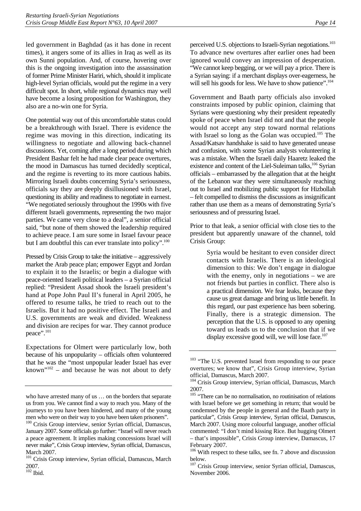led government in Baghdad (as it has done in recent times), it angers some of its allies in Iraq as well as its own Sunni population. And, of course, hovering over this is the ongoing investigation into the assassination of former Prime Minister Hariri, which, should it implicate high-level Syrian officials, would put the regime in a very difficult spot. In short, while regional dynamics may well have become a losing proposition for Washington, they also are a no-win one for Syria.

One potential way out of this uncomfortable status could be a breakthrough with Israel. There is evidence the regime was moving in this direction, indicating its willingness to negotiate and allowing back-channel discussions. Yet, coming after a long period during which President Bashar felt he had made clear peace overtures, the mood in Damascus has turned decidedly sceptical, and the regime is reverting to its more cautious habits. Mirroring Israeli doubts concerning Syria's seriousness, officials say they are deeply disillusioned with Israel, questioning its ability and readiness to negotiate in earnest. "We negotiated seriously throughout the 1990s with five different Israeli governments, representing the two major parties. We came very close to a deal", a senior official said, "but none of them showed the leadership required to achieve peace. I am sure some in Israel favour peace but I am doubtful this can ever translate into policy".<sup>100</sup>

Pressed by Crisis Group to take the initiative – aggressively market the Arab peace plan; empower Egypt and Jordan to explain it to the Israelis; or begin a dialogue with peace-oriented Israeli political leaders – a Syrian official replied: "President Assad shook the Israeli president's hand at Pope John Paul II's funeral in April 2005, he offered to resume talks, he tried to reach out to the Israelis. But it had no positive effect. The Israeli and U.S. governments are weak and divided. Weakness and division are recipes for war. They cannot produce peace".[101](#page-17-1) 

Expectations for Olmert were particularly low, both because of his unpopularity – officials often volunteered that he was the "most unpopular leader Israel has ever known" $102$  – and because he was not about to defy

perceived U.S. objections to Israeli-Syrian negotiations.<sup>103</sup> To advance new overtures after earlier ones had been ignored would convey an impression of desperation. "We cannot keep begging, or we will pay a price. There is a Syrian saying: if a merchant displays over-eagerness, he will sell his goods for less. We have to show patience".<sup>[104](#page-17-4)</sup>

Government and Baath party officials also invoked constraints imposed by public opinion, claiming that Syrians were questioning why their president repeatedly spoke of peace when Israel did not and that the people would not accept any step toward normal relations with Israel so long as the Golan was occupied.<sup>105</sup> The Assad/Katsav handshake is said to have generated unease and confusion, with some Syrian analysts volunteering it was a mistake. When the Israeli daily Haaretz leaked the existence and content of the Liel-Suleiman talks,<sup>106</sup> Syrian officials – embarrassed by the allegation that at the height of the Lebanon war they were simultaneously reaching out to Israel and mobilizing public support for Hizbollah – felt compelled to dismiss the discussions as insignificant rather than use them as a means of demonstrating Syria's seriousness and of pressuring Israel.

Prior to that leak, a senior official with close ties to the president but apparently unaware of the channel, told Crisis Group:

> Syria would be hesitant to even consider direct contacts with Israelis. There is an ideological dimension to this: We don't engage in dialogue with the enemy, only in negotiations – we are not friends but parties in conflict. There also is a practical dimension. We fear leaks, because they cause us great damage and bring us little benefit. In this regard, our past experience has been sobering. Finally, there is a strategic dimension. The perception that the U.S. is opposed to any opening toward us leads us to the conclusion that if we display excessive good will, we will lose face. $107$

who have arrested many of us … on the borders that separate us from you. We cannot find a way to reach you. Many of the journeys to you have been hindered, and many of the young men who were on their way to you have been taken prisoners".

<span id="page-17-0"></span><sup>&</sup>lt;sup>100</sup> Crisis Group interview, senior Syrian official, Damascus, January 2007. Some officials go further: "Israel will never reach a peace agreement. It implies making concessions Israel will never make", Crisis Group interview, Syrian official, Damascus, March 2007.

<span id="page-17-1"></span><sup>&</sup>lt;sup>101</sup> Crisis Group interview, Syrian official, Damascus, March 2007.

<span id="page-17-2"></span> $102$  Ibid.

<span id="page-17-3"></span><sup>&</sup>lt;sup>103</sup> "The U.S. prevented Israel from responding to our peace overtures; we know that", Crisis Group interview, Syrian official, Damascus, March 2007.

<span id="page-17-4"></span><sup>&</sup>lt;sup>104</sup> Crisis Group interview, Syrian official, Damascus, March 2007.

<span id="page-17-5"></span><sup>&</sup>lt;sup>105</sup> "There can be no normalisation, no routinisation of relations with Israel before we get something in return; that would be condemned by the people in general and the Baath party in particular", Crisis Group interview, Syrian official, Damascus, March 2007. Using more colourful language, another official commented: "I don't mind kissing Rice. But hugging Olmert – that's impossible", Crisis Group interview, Damascus, 17 February 2007.

<span id="page-17-6"></span><sup>&</sup>lt;sup>106</sup> With respect to these talks, see fn. 7 above and discussion below.

<span id="page-17-7"></span><sup>&</sup>lt;sup>107</sup> Crisis Group interview, senior Syrian official, Damascus, November 2006.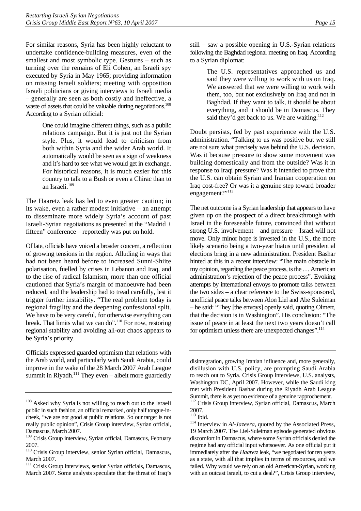For similar reasons, Syria has been highly reluctant to undertake confidence-building measures, even of the smallest and most symbolic type. Gestures – such as turning over the remains of Eli Cohen, an Israeli spy executed by Syria in May 1965; providing information on missing Israeli soldiers; meeting with opposition Israeli politicians or giving interviews to Israeli media – generally are seen as both costly and ineffective, a waste of assets that could be valuable during negotiations.<sup>108</sup> According to a Syrian official:

> One could imagine different things, such as a public relations campaign. But it is just not the Syrian style. Plus, it would lead to criticism from both within Syria and the wider Arab world. It automatically would be seen as a sign of weakness and it's hard to see what we would get in exchange. For historical reasons, it is much easier for this country to talk to a Bush or even a Chirac than to an Israeli.<sup>109</sup>

The Haaretz leak has led to even greater caution; in its wake, even a rather modest initiative – an attempt to disseminate more widely Syria's account of past Israeli-Syrian negotiations as presented at the "Madrid + fifteen" conference – reportedly was put on hold.

Of late, officials have voiced a broader concern, a reflection of growing tensions in the region. Alluding in ways that had not been heard before to increased Sunni-Shiite polarisation, fuelled by crises in Lebanon and Iraq, and to the rise of radical Islamism, more than one official cautioned that Syria's margin of manoeuvre had been reduced, and the leadership had to tread carefully, lest it trigger further instability. "The real problem today is regional fragility and the deepening confessional split. We have to be very careful, for otherwise everything can break. That limits what we can do".[110 F](#page-18-2)or now, restoring regional stability and avoiding all-out chaos appears to be Syria's priority.

Officials expressed guarded optimism that relations with the Arab world, and particularly with Saudi Arabia, could improve in the wake of the 28 March 2007 Arab League summit in Riyadh.<sup>111</sup> They even – albeit more guardedly

The U.S. representatives approached us and said they were willing to work with us on Iraq. We answered that we were willing to work with them, too, but not exclusively on Iraq and not in Baghdad. If they want to talk, it should be about everything, and it should be in Damascus. They said they'd get back to us. We are waiting.<sup>112</sup>

Doubt persists, fed by past experience with the U.S. administration. "Talking to us was positive but we still are not sure what precisely was behind the U.S. decision. Was it because pressure to show some movement was building domestically and from the outside? Was it in response to Iraqi pressure? Was it intended to prove that the U.S. can obtain Syrian and Iranian cooperation on Iraq cost-free? Or was it a genuine step toward broader engagement?"<sup>113</sup>

The net outcome is a Syrian leadership that appears to have given up on the prospect of a direct breakthrough with Israel in the foreseeable future, convinced that without strong U.S. involvement – and pressure – Israel will not move. Only minor hope is invested in the U.S., the more likely scenario being a two-year hiatus until presidential elections bring in a new administration. President Bashar hinted at this in a recent interview: "The main obstacle in my opinion, regarding the peace process, is the … American administration's rejection of the peace process". Evoking attempts by international envoys to promote talks between the two sides – a clear reference to the Swiss-sponsored, unofficial peace talks between Alon Liel and Abe Suleiman – he said: "They [the envoys] openly said, quoting Olmert, that the decision is in Washington". His conclusion: "The issue of peace in at least the next two years doesn't call for optimism unless there are unexpected changes".<sup>114</sup>

<span id="page-18-0"></span><sup>&</sup>lt;sup>108</sup> Asked why Syria is not willing to reach out to the Israeli public in such fashion, an official remarked, only half tongue-incheek, "we are not good at public relations. So our target is not really public opinion", Crisis Group interview, Syrian official, Damascus, March 2007.

<span id="page-18-1"></span><sup>&</sup>lt;sup>109</sup> Crisis Group interview, Syrian official, Damascus, February 2007.

<span id="page-18-2"></span><sup>2007.&</sup>lt;br><sup>110</sup> Crisis Group interview, senior Syrian official, Damascus, March 2007.

<span id="page-18-3"></span><sup>&</sup>lt;sup>111</sup> Crisis Group interviews, senior Syrian officials, Damascus, March 2007. Some analysts speculate that the threat of Iraq's

disintegration, growing Iranian influence and, more generally, disillusion with U.S. policy, are prompting Saudi Arabia to reach out to Syria. Crisis Group interviews, U.S. analysts, Washington DC, April 2007. However, while the Saudi king met with President Bashar during the Riyadh Arab League Summit, there is as yet no evidence of a genuine rapprochement.

<span id="page-18-4"></span><sup>&</sup>lt;sup>112</sup> Crisis Group interview, Syrian official, Damascus, March 2007.<br><sup>113</sup> Ibid.

<span id="page-18-5"></span>

<span id="page-18-6"></span><sup>&</sup>lt;sup>114</sup> Interview in *Al-Jazeera*, quoted by the Associated Press, 19 March 2007. The Liel-Suleiman episode generated obvious discomfort in Damascus, where some Syrian officials denied the regime had any official input whatsoever. As one official put it immediately after the *Haaretz* leak, "we negotiated for ten years as a state, with all that implies in terms of resources, and we failed. Why would we rely on an old American-Syrian, working with an outcast Israeli, to cut a deal?", Crisis Group interview,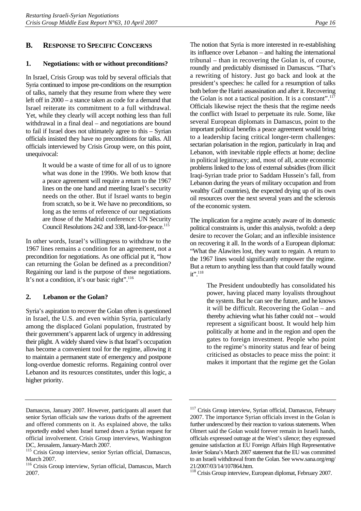### <span id="page-19-0"></span>**1. Negotiations: with or without preconditions?**

<span id="page-19-1"></span>In Israel, Crisis Group was told by several officials that Syria continued to impose pre-conditions on the resumption of talks, namely that they resume from where they were left off in 2000 – a stance taken as code for a demand that Israel reiterate its commitment to a full withdrawal. Yet, while they clearly will accept nothing less than full withdrawal in a final deal – and negotiations are bound to fail if Israel does not ultimately agree to this – Syrian officials insisted they have no preconditions for talks. All officials interviewed by Crisis Group were, on this point, unequivocal:

> It would be a waste of time for all of us to ignore what was done in the 1990s. We both know that a peace agreement will require a return to the 1967 lines on the one hand and meeting Israel's security needs on the other. But if Israel wants to begin from scratch, so be it. We have no preconditions, so long as the terms of reference of our negotiations are those of the Madrid conference: UN Security Council Resolutions 242 and 338, land-for-peace.<sup>115</sup>

In other words, Israel's willingness to withdraw to the 1967 lines remains a condition for an agreement, not a precondition for negotiations. As one official put it, "how can returning the Golan be defined as a precondition? Regaining our land is the purpose of these negotiations. It's not a condition, it's our basic right". $116$ 

### <span id="page-19-2"></span>**2. Lebanon or the Golan?**

Syria's aspiration to recover the Golan often is questioned in Israel, the U.S. and even within Syria, particularly among the displaced Golani population, frustrated by their government's apparent lack of urgency in addressing their plight. A widely shared view is that Israel's occupation has become a convenient tool for the regime, allowing it to maintain a permanent state of emergency and postpone long-overdue domestic reforms. Regaining control over Lebanon and its resources constitutes, under this logic, a higher priority.

The notion that Syria is more interested in re-establishing its influence over Lebanon – and halting the international tribunal – than in recovering the Golan is, of course, roundly and predictably dismissed in Damascus. "That's a rewriting of history. Just go back and look at the president's speeches: he called for a resumption of talks both before the Hariri assassination and after it. Recovering the Golan is not a tactical position. It is a constant".<sup>117</sup> Officials likewise reject the thesis that the regime needs the conflict with Israel to perpetuate its rule. Some, like several European diplomats in Damascus, point to the important political benefits a peace agreement would bring to a leadership facing critical longer-term challenges: sectarian polarisation in the region, particularly in Iraq and Lebanon, with inevitable ripple effects at home; decline in political legitimacy; and, most of all, acute economic problems linked to the loss of external subsidies (from illicit Iraqi-Syrian trade prior to Saddam Hussein's fall, from Lebanon during the years of military occupation and from wealthy Gulf countries), the expected drying up of its own oil resources over the next several years and the sclerosis of the economic system.

The implication for a regime acutely aware of its domestic political constraints is, under this analysis, twofold: a deep desire to recover the Golan; and an inflexible insistence on recovering it all. In the words of a European diplomat: "What the Alawites lost, they want to regain. A return to the 1967 lines would significantly empower the regime. But a return to anything less than that could fatally wound it".<sup>118</sup>

> The President undoubtedly has consolidated his power, having placed many loyalists throughout the system. But he can see the future, and he knows it will be difficult. Recovering the Golan – and thereby achieving what his father could not – would represent a significant boost. It would help him politically at home and in the region and open the gates to foreign investment. People who point to the regime's minority status and fear of being criticised as obstacles to peace miss the point: it makes it important that the regime get the Golan

Damascus, January 2007. However, participants all assert that senior Syrian officials saw the various drafts of the agreement and offered comments on it. As explained above, the talks reportedly ended when Israel turned down a Syrian request for official involvement. Crisis Group interviews, Washington DC, Jerusalem, January-March 2007.

<span id="page-19-3"></span><sup>&</sup>lt;sup>115</sup> Crisis Group interview, senior Syrian official, Damascus, March 2007.

<span id="page-19-4"></span><sup>&</sup>lt;sup>116</sup> Crisis Group interview, Syrian official, Damascus, March 2007.

<span id="page-19-5"></span><sup>&</sup>lt;sup>117</sup> Crisis Group interview, Syrian official, Damascus, February 2007. The importance Syrian officials invest in the Golan is further underscored by their reaction to various statements. When Olmert said the Golan would forever remain in Israeli hands, officials expressed outrage at the West's silence; they expressed genuine satisfaction at EU Foreign Affairs High Representative Javier Solana's March 2007 statement that the EU was committed to an Israeli withdrawal from the Golan. See www.sana.org/eng/ 21/2007/03/14/107864.htm.

<span id="page-19-6"></span><sup>&</sup>lt;sup>118</sup> Crisis Group interview, European diplomat, February 2007.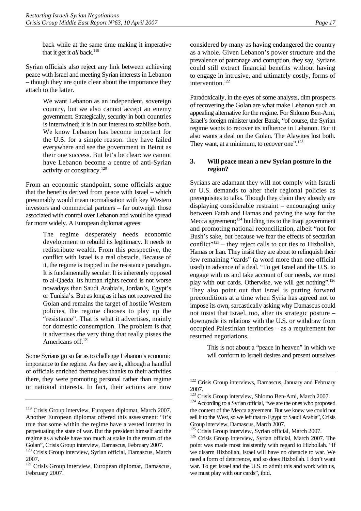back while at the same time making it imperative that it get it *all* back.<sup>119</sup>

Syrian officials also reject any link between achieving peace with Israel and meeting Syrian interests in Lebanon – though they are quite clear about the importance they attach to the latter.

> We want Lebanon as an independent, sovereign country, but we also cannot accept an enemy government. Strategically, security in both countries is intertwined; it is in our interest to stabilise both. We know Lebanon has become important for the U.S. for a simple reason: they have failed everywhere and see the government in Beirut as their one success. But let's be clear: we cannot have Lebanon become a centre of anti-Syrian activity or conspiracy.<sup>120</sup>

From an economic standpoint, some officials argue that the benefits derived from peace with Israel – which presumably would mean normalisation with key Western investors and commercial partners – far outweigh those associated with control over Lebanon and would be spread far more widely. A European diplomat agrees:

> The regime desperately needs economic development to rebuild its legitimacy. It needs to redistribute wealth. From this perspective, the conflict with Israel is a real obstacle. Because of it, the regime is trapped in the resistance paradigm. It is fundamentally secular. It is inherently opposed to al-Qaeda. Its human rights record is not worse nowadays than Saudi Arabia's, Jordan's, Egypt's or Tunisia's. But as long as it has not recovered the Golan and remains the target of hostile Western policies, the regime chooses to play up the "resistance". That is what it advertises, mainly for domestic consumption. The problem is that it advertises the very thing that really pisses the Americans off.<sup>[121](#page-20-3)</sup>

Some Syrians go so far as to challenge Lebanon's economic importance to the regime. As they see it, although a handful of officials enriched themselves thanks to their activities there, they were promoting personal rather than regime or national interests. In fact, their actions are now

considered by many as having endangered the country as a whole. Given Lebanon's power structure and the prevalence of patronage and corruption, they say, Syrians could still extract financial benefits without having to engage in intrusive, and ultimately costly, forms of intervention.<sup>122</sup>

Paradoxically, in the eyes of some analysts, dim prospects of recovering the Golan are what make Lebanon such an appealing alternative for the regime. For Shlomo Ben-Ami, Israel's foreign minister under Barak, "of course, the Syrian regime wants to recover its influence in Lebanon. But it also wants a deal on the Golan. The Alawites lost both. They want, at a minimum, to recover one".<sup>[123](#page-20-5)</sup>

### <span id="page-20-0"></span>**3. Will peace mean a new Syrian posture in the region?**

Syrians are adamant they will not comply with Israeli or U.S. demands to alter their regional policies as prerequisites to talks. Though they claim they already are displaying considerable restraint – encouraging unity between Fatah and Hamas and paving the way for the Mecca agreement;<sup>124</sup> building ties to the Iraqi government and promoting national reconciliation, albeit "not for Bush's sake, but because we fear the effects of sectarian conflict"<sup>125</sup> – they reject calls to cut ties to Hizbollah, Hamas or Iran. They insist they are about to relinquish their few remaining "cards" (a word more than one official used) in advance of a deal. "To get Israel and the U.S. to engage with us and take account of our needs, we must play with our cards. Otherwise, we will get nothing".<sup>126</sup> They also point out that Israel is putting forward preconditions at a time when Syria has agreed not to impose its own, sarcastically asking why Damascus could not insist that Israel, too, alter its strategic posture – downgrade its relations with the U.S. or withdraw from occupied Palestinian territories – as a requirement for resumed negotiations.

> This is not about a "peace in heaven" in which we will conform to Israeli desires and present ourselves

<span id="page-20-1"></span><sup>&</sup>lt;sup>119</sup> Crisis Group interview, European diplomat, March 2007. Another European diplomat offered this assessment: "It's true that some within the regime have a vested interest in perpetuating the state of war. But the president himself and the regime as a whole have too much at stake in the return of the Golan", Crisis Group interview, Damascus, February 2007.

<span id="page-20-2"></span><sup>&</sup>lt;sup>120</sup> Crisis Group interview, Syrian official, Damascus, March 2007.

<span id="page-20-3"></span><sup>&</sup>lt;sup>121</sup> Crisis Group interview, European diplomat, Damascus, February 2007.

<span id="page-20-4"></span><sup>&</sup>lt;sup>122</sup> Crisis Group interviews, Damascus, January and February 2007.<br><sup>123</sup> Crisis Group interview, Shlomo Ben-Ami, March 2007.

<span id="page-20-5"></span>

<span id="page-20-6"></span> $124$  According to a Syrian official, "we are the ones who proposed the content of the Mecca agreement. But we knew we could not sell it to the West, so we left that to Egypt or Saudi Arabia", Crisis Group interview, Damascus, March 2007.<br><sup>125</sup> Crisis Group interview, Syrian official, March 2007.

<span id="page-20-7"></span>

<span id="page-20-8"></span><sup>&</sup>lt;sup>126</sup> Crisis Group interview, Syrian official, March 2007. The point was made most insistently with regard to Hizbollah. "If we disarm Hizbollah, Israel will have no obstacle to war. We need a form of deterrence, and so does Hizbollah. I don't want war. To get Israel and the U.S. to admit this and work with us, we must play with our cards", ibid.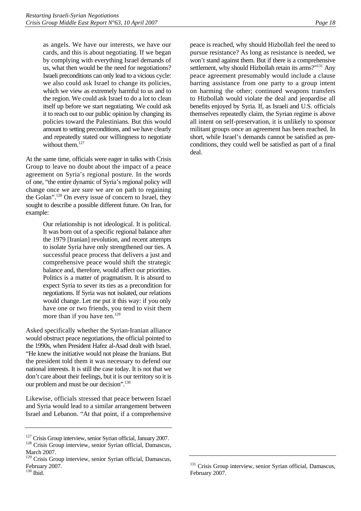as angels. We have our interests, we have our cards, and this is about negotiating. If we began by complying with everything Israel demands of us, what then would be the need for negotiations? Israeli preconditions can only lead to a vicious cycle: we also could ask Israel to change its policies, which we view as extremely harmful to us and to the region. We could ask Israel to do a lot to clean itself up before we start negotiating. We could ask it to reach out to our public opinion by changing its policies toward the Palestinians. But this would amount to setting preconditions, and we have clearly and repeatedly stated our willingness to negotiate without them.<sup>[127](#page-21-0)</sup>

At the same time, officials were eager in talks with Crisis Group to leave no doubt about the impact of a peace agreement on Syria's regional posture. In the words of one, "the entire dynamic of Syria's regional policy will change once we are sure we are on path to regaining the Golan".<sup>128</sup> On every issue of concern to Israel, they sought to describe a possible different future. On Iran, for example:

> Our relationship is not ideological. It is political. It was born out of a specific regional balance after the 1979 [Iranian] revolution, and recent attempts to isolate Syria have only strengthened our ties. A successful peace process that delivers a just and comprehensive peace would shift the strategic balance and, therefore, would affect our priorities. Politics is a matter of pragmatism. It is absurd to expect Syria to sever its ties as a precondition for negotiations. If Syria was not isolated, our relations would change. Let me put it this way: if you only have one or two friends, you tend to visit them more than if you have ten.<sup>[129](#page-21-2)</sup>

Asked specifically whether the Syrian-Iranian alliance would obstruct peace negotiations, the official pointed to the 1990s, when President Hafez al-Asad dealt with Israel. "He knew the initiative would not please the Iranians. But the president told them it was necessary to defend our national interests. It is still the case today. It is not that we don't care about their feelings, but it is our territory so it is our problem and must be our decision".<sup>130</sup>

Likewise, officials stressed that peace between Israel and Syria would lead to a similar arrangement between Israel and Lebanon. "At that point, if a comprehensive peace is reached, why should Hizbollah feel the need to pursue resistance? As long as resistance is needed, we won't stand against them. But if there is a comprehensive settlement, why should Hizbollah retain its arms?"<sup>131</sup> Any peace agreement presumably would include a clause barring assistance from one party to a group intent on harming the other; continued weapons transfers to Hizbollah would violate the deal and jeopardise all benefits enjoyed by Syria. If, as Israeli and U.S. officials themselves repeatedly claim, the Syrian regime is above all intent on self-preservation, it is unlikely to sponsor militant groups once an agreement has been reached. In short, while Israel's demands cannot be satisfied as preconditions, they could well be satisfied as part of a final deal.

<span id="page-21-0"></span> $127$  Crisis Group interview, senior Syrian official, January 2007.<br><sup>128</sup> Crisis Group interview, senior Syrian official, Damascus,

<span id="page-21-1"></span>March 2007.

<span id="page-21-2"></span><sup>&</sup>lt;sup>129</sup> Crisis Group interview, senior Syrian official, Damascus, February 2007.

<span id="page-21-3"></span><sup>130</sup> Ibid.

<span id="page-21-4"></span><sup>&</sup>lt;sup>131</sup> Crisis Group interview, senior Syrian official, Damascus, February 2007.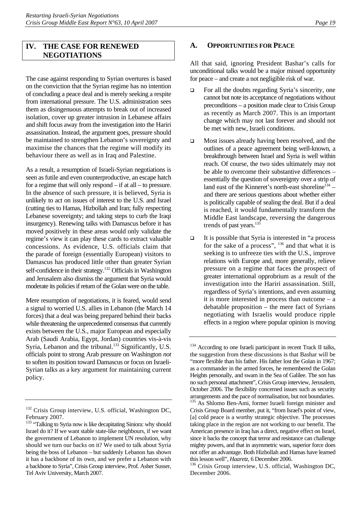# <span id="page-22-0"></span>**IV. THE CASE FOR RENEWED NEGOTIATIONS**

The case against responding to Syrian overtures is based on the conviction that the Syrian regime has no intention of concluding a peace deal and is merely seeking a respite from international pressure. The U.S. administration sees them as disingenuous attempts to break out of increased isolation, cover up greater intrusion in Lebanese affairs and shift focus away from the investigation into the Hariri assassination. Instead, the argument goes, pressure should be maintained to strengthen Lebanon's sovereignty and maximise the chances that the regime will modify its behaviour there as well as in Iraq and Palestine.

As a result, a resumption of Israeli-Syrian negotiations is seen as futile and even counterproductive, an escape hatch for a regime that will only respond – if at all – to pressure. In the absence of such pressure, it is believed, Syria is unlikely to act on issues of interest to the U.S. and Israel (cutting ties to Hamas, Hizbollah and Iran; fully respecting Lebanese sovereignty; and taking steps to curb the Iraqi insurgency). Renewing talks with Damascus before it has moved positively in these areas would only validate the regime's view it can play these cards to extract valuable concessions. As evidence, U.S. officials claim that the parade of foreign (essentially European) visitors to Damascus has produced little other than greater Syrian self-confidence in their strategy.<sup>132</sup> Officials in Washington and Jerusalem also dismiss the argument that Syria would moderate its policies if return of the Golan were on the table.

Mere resumption of negotiations, it is feared, would send a signal to worried U.S. allies in Lebanon (the March 14 forces) that a deal was being prepared behind their backs while threatening the unprecedented consensus that currently exists between the U.S., major European and especially Arab (Saudi Arabia, Egypt, Jordan) countries vis-à-vis Syria, Lebanon and the tribunal.<sup>133</sup> Significantly, U.S. officials point to strong Arab pressure on Washington *not*  to soften its position toward Damascus or focus on Israeli-Syrian talks as a key argument for maintaining current policy.

### <span id="page-22-1"></span>**A. OPPORTUNITIES FOR PEACE**

All that said, ignoring President Bashar's calls for unconditional talks would be a major missed opportunity for peace – and create a not negligible risk of war.

- $\Box$  For all the doubts regarding Syria's sincerity, one cannot but note its acceptance of negotiations without preconditions – a position made clear to Crisis Group as recently as March 2007. This is an important change which may not last forever and should not be met with new, Israeli conditions.
- $\Box$  Most issues already having been resolved, and the outlines of a peace agreement being well-known, a breakthrough between Israel and Syria is well within reach. Of course, the two sides ultimately may not be able to overcome their substantive differences – essentially the question of sovereignty over a strip of land east of the Kinneret's north-east shoreline $134 - 1$ and there are serious questions about whether either is politically capable of sealing the deal. But if a deal is reached, it would fundamentally transform the Middle East landscape, reversing the dangerous trends of past years.<sup>135</sup>
- $\Box$  It is possible that Syria is interested in "a process" for the sake of a process", [136 a](#page-22-6)nd that what it is seeking is to unfreeze ties with the U.S., improve relations with Europe and, more generally, relieve pressure on a regime that faces the prospect of greater international opprobrium as a result of the investigation into the Hariri assassination. Still, regardless of Syria's intentions, and even assuming it is more interested in process than outcome – a debatable proposition – the mere fact of Syrians negotiating with Israelis would produce ripple effects in a region where popular opinion is moving

<span id="page-22-2"></span><sup>&</sup>lt;sup>132</sup> Crisis Group interview, U.S. official, Washington DC, February 2007.

<span id="page-22-3"></span><sup>&</sup>lt;sup>133</sup> "Talking to Syria now is like decapitating Siniora: why should Israel do it? If we want stable state-like neighbours, if we want the government of Lebanon to implement UN resolution, why should we turn our backs on it? We used to talk about Syria being the boss of Lebanon – but suddenly Lebanon has shown it has a backbone of its own, and we prefer a Lebanon with a backbone to Syria", Crisis Group interview, Prof. Asher Susser, Tel Aviv University, March 2007.

<span id="page-22-5"></span><span id="page-22-4"></span><sup>&</sup>lt;sup>134</sup> According to one Israeli participant in recent Track II talks, the suggestion from these discussions is that Bashar will be "more flexible than his father. His father lost the Golan in 1967; as a commander in the armed forces, he remembered the Golan Heights personally, and swam in the Sea of Galilee. The son has no such personal attachment", Crisis Group interview, Jerusalem, October 2006. The flexibility concerned issues such as security arrangements and the pace of normalisation, but not boundaries. <sup>135</sup> As Shlomo Ben-Ami, former Israeli foreign minister and Crisis Group Board member, put it, "from Israel's point of view, [a] cold peace is a worthy strategic objective. The processes taking place in the region are not working to our benefit. The American presence in Iraq has a direct, negative effect on Israel, since it backs the concept that terror and resistance can challenge mighty powers, and that in asymmetric wars, superior force does not offer an advantage. Both Hizbollah and Hamas have learned this lesson well", *Haaretz*, 6 December 2006.<br><sup>136</sup> Crisis Group interview, U.S. official, Washington DC,

<span id="page-22-6"></span>December 2006.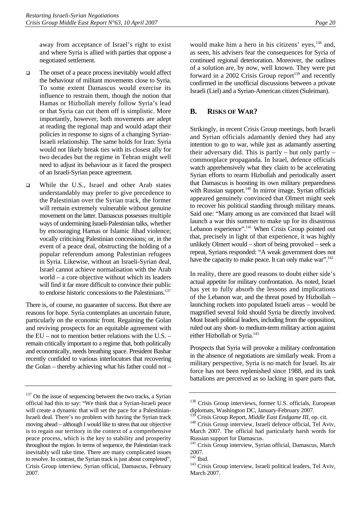away from acceptance of Israel's right to exist and where Syria is allied with parties that oppose a negotiated settlement.

- $\Box$  The onset of a peace process inevitably would affect the behaviour of militant movements close to Syria. To some extent Damascus would exercise its influence to restrain them, though the notion that Hamas or Hizbollah merely follow Syria's lead or that Syria can cut them off is simplistic. More importantly, however, both movements are adept at reading the regional map and would adapt their policies in response to signs of a changing Syrian-Israeli relationship. The same holds for Iran: Syria would not likely break ties with its closest ally for two decades but the regime in Tehran might well need to adjust its behaviour as it faced the prospect of an Israeli-Syrian peace agreement.
- □ While the U.S., Israel and other Arab states understandably may prefer to give precedence to the Palestinian over the Syrian track, the former will remain extremely vulnerable without genuine movement on the latter. Damascus possesses multiple ways of undermining Israeli-Palestinian talks, whether by encouraging Hamas or Islamic Jihad violence; vocally criticising Palestinian concessions; or, in the event of a peace deal, obstructing the holding of a popular referendum among Palestinian refugees in Syria. Likewise, without an Israeli-Syrian deal, Israel cannot achieve normalisation with the Arab world – a core objective without which its leaders will find it far more difficult to convince their public to endorse historic concessions to the Palestinians.<sup>137</sup>

There is, of course, no guarantee of success. But there are reasons for hope. Syria contemplates an uncertain future, particularly on the economic front. Regaining the Golan and reviving prospects for an equitable agreement with the EU – not to mention better relations with the U.S. – remain critically important to a regime that, both politically and economically, needs breathing space. President Bashar recently confided to various interlocutors that recovering the Golan – thereby achieving what his father could not –

would make him a hero in his citizens' eyes,<sup>138</sup> and, as seen, his advisers fear the consequences for Syria of continued regional deterioration. Moreover, the outlines of a solution are, by now, well known. They were put forward in a 2002 Crisis Group report $139$  and recently confirmed in the unofficial discussions between a private Israeli (Liel) and a Syrian-American citizen (Suleiman).

# <span id="page-23-0"></span>**B. RISKS OF WAR?**

Strikingly, in recent Crisis Group meetings, both Israeli and Syrian officials adamantly denied they had any intention to go to war, while just as adamantly asserting their adversary did. This is partly – but only partly – commonplace propaganda. In Israel, defence officials watch apprehensively what they claim to be accelerating Syrian efforts to rearm Hizbollah and periodically assert that Damascus is boosting its own military preparedness with Russian support.<sup>140</sup> In mirror image, Syrian officials appeared genuinely convinced that Olmert might seek to recover his political standing through military means. Said one: "Many among us are convinced that Israel will launch a war this summer to make up for its disastrous Lebanon experience".<sup>141</sup> When Crisis Group pointed out that, precisely in light of that experience, it was highly unlikely Olmert would – short of being provoked – seek a repeat, Syrians responded: "A weak government does not have the capacity to make peace. It can only make war".<sup>142</sup>

In reality, there are good reasons to doubt either side's actual appetite for military confrontation. As noted, Israel has yet to fully absorb the lessons and implications of the Lebanon war, and the threat posed by Hizbollah – launching rockets into populated Israeli areas – would be magnified several fold should Syria be directly involved. Most Israeli political leaders, including from the opposition, ruled out any short- to medium-term military action against either Hizbollah or Syria.<sup>[143](#page-23-7)</sup>

Prospects that Syria will provoke a military confrontation in the absence of negotiations are similarly weak. From a military perspective, Syria is no match for Israel. Its air force has not been replenished since 1988, and its tank battalions are perceived as so lacking in spare parts that,

<span id="page-23-1"></span> $137$  On the issue of sequencing between the two tracks, a Syrian official had this to say: "We think that a Syrian-Israeli peace will create a dynamic that will set the pace for a Palestinian-Israeli deal. There's no problem with having the Syrian track moving ahead – although I would like to stress that our objective is to regain our territory in the context of a comprehensive peace process, which is the key to stability and prosperity throughout the region. In terms of sequence, the Palestinian track inevitably will take time. There are many complicated issues to resolve. In contrast, the Syrian track is just about completed", Crisis Group interview, Syrian official, Damascus, February 2007.

<span id="page-23-2"></span><sup>&</sup>lt;sup>138</sup> Crisis Group interviews, former U.S. officials, European diplomats, Washington DC, January-February 2007.

<span id="page-23-3"></span>

<span id="page-23-4"></span><sup>&</sup>lt;sup>139</sup> Crisis Group Report, *Middle East Endgame III*, op. cit.<br><sup>140</sup> Crisis Group interview, Israeli defence official, Tel Aviv, March 2007. The official had particularly harsh words for Russian support for Damascus.

<span id="page-23-5"></span><sup>&</sup>lt;sup>141</sup> Crisis Group interview, Syrian official, Damascus, March

<span id="page-23-6"></span> $2007.$ <sup>142</sup> Ibid.

<span id="page-23-7"></span><sup>&</sup>lt;sup>143</sup> Crisis Group interview, Israeli political leaders, Tel Aviv, March 2007.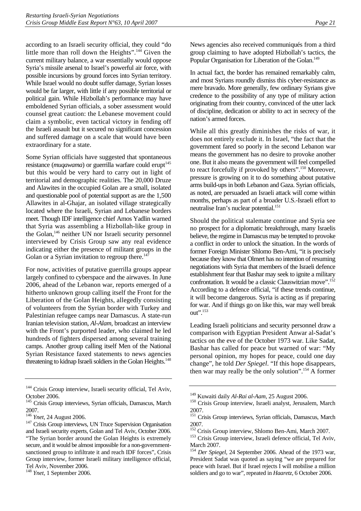according to an Israeli security official, they could "do little more than roll down the Heights".[144 G](#page-24-0)iven the current military balance, a war essentially would oppose Syria's missile arsenal to Israel's powerful air force, with possible incursions by ground forces into Syrian territory. While Israel would no doubt suffer damage, Syrian losses would be far larger, with little if any possible territorial or political gain. While Hizbollah's performance may have emboldened Syrian officials, a sober assessment would counsel great caution: the Lebanese movement could claim a symbolic, even tactical victory in fending off the Israeli assault but it secured no significant concession and suffered damage on a scale that would have been extraordinary for a state.

Some Syrian officials have suggested that spontaneous resistance (*muqawama*) or guerrilla warfare could erupt<sup>145</sup> but this would be very hard to carry out in light of territorial and demographic realities. The 20,000 Druze and Alawites in the occupied Golan are a small, isolated and questionable pool of potential support as are the 1,500 Allawites in al-Ghajar, an isolated village strategically located where the Israeli, Syrian and Lebanese borders meet. Though IDF intelligence chief Amos Yadlin warned that Syria was assembling a Hizbollah-like group in the Golan,<sup>146</sup> neither UN nor Israeli security personnel interviewed by Crisis Group saw any real evidence indicating either the presence of militant groups in the Golan or a Syrian invitation to regroup there.<sup>147</sup>

For now, activities of putative guerrilla groups appear largely confined to cyberspace and the airwaves. In June 2006, ahead of the Lebanon war, reports emerged of a hitherto unknown group calling itself the Front for the Liberation of the Golan Heights, allegedly consisting of volunteers from the Syrian border with Turkey and Palestinian refugee camps near Damascus. A state-run Iranian television station, *Al-Alam*, broadcast an interview with the Front's purported leader, who claimed he led hundreds of fighters dispersed among several training camps. Another group calling itself Men of the National Syrian Resistance faxed statements to news agencies threatening to kidnap Israeli soldiers in the Golan Heights.<sup>148</sup>

News agencies also received communiqués from a third group claiming to have adopted Hizbollah's tactics, the Popular Organisation for Liberation of the Golan.<sup>149</sup>

In actual fact, the border has remained remarkably calm, and most Syrians roundly dismiss this cyber-resistance as mere bravado. More generally, few ordinary Syrians give credence to the possibility of any type of military action originating from their country, convinced of the utter lack of discipline, dedication or ability to act in secrecy of the nation's armed forces.

While all this greatly diminishes the risks of war, it does not entirely exclude it. In Israel, "the fact that the government fared so poorly in the second Lebanon war means the government has no desire to provoke another one. But it also means the government will feel compelled to react forcefully if provoked by others".<sup>150</sup> Moreover, pressure is growing on it to do something about putative arms build-ups in both Lebanon and Gaza. Syrian officials, as noted, are persuaded an Israeli attack will come within months, perhaps as part of a broader U.S.-Israeli effort to neutralise Iran's nuclear potential.<sup>151</sup>

Should the political stalemate continue and Syria see no prospect for a diplomatic breakthrough, many Israelis believe, the regime in Damascus may be tempted to provoke a conflict in order to unlock the situation. In the words of former Foreign Minister Shlomo Ben-Ami, "it is precisely because they know that Olmert has no intention of resuming negotiations with Syria that members of the Israeli defence establishment fear that Bashar may seek to ignite a military confrontation. It would be a classic Clauswitzian move".<sup>152</sup> According to a defence official, "if these trends continue, it will become dangerous. Syria is acting as if preparing for war. And if things go on like this, war may well break out".[153](#page-24-9) 

Leading Israeli politicians and security personnel draw a comparison with Egyptian President Anwar al-Sadat's tactics on the eve of the October 1973 war. Like Sadat, Bashar has called for peace but warned of war: "My personal opinion, my hopes for peace, could one day change", he told *Der Spiegel*. "If this hope disappears, then war may really be the only solution".[154 A](#page-24-10) former

<span id="page-24-0"></span><sup>&</sup>lt;sup>144</sup> Crisis Group interview, Israeli security official, Tel Aviv, October 2006.

<span id="page-24-1"></span><sup>&</sup>lt;sup>145</sup> Crisis Group interviews, Syrian officials, Damascus, March 2007.<br><sup>146</sup> *Ynet*, 24 August 2006.

<span id="page-24-2"></span>

<span id="page-24-3"></span><sup>&</sup>lt;sup>147</sup> Crisis Group interviews, UN Truce Supervision Organisation and Israeli security experts, Golan and Tel Aviv, October 2006. "The Syrian border around the Golan Heights is extremely secure, and it would be almost impossible for a non-governmentsanctioned group to infiltrate it and reach IDF forces", Crisis Group interview, former Israeli military intelligence official, Tel Aviv, November 2006.

<span id="page-24-4"></span><sup>148</sup> *Ynet*, 1 September 2006.

<span id="page-24-6"></span>

<span id="page-24-5"></span><sup>&</sup>lt;sup>149</sup> Kuwaiti daily *Al-Rai al-Aam*, 25 August 2006.<br><sup>150</sup> Crisis Group interview, Israeli analyst, Jerusalem, March 2007.

<span id="page-24-7"></span><sup>&</sup>lt;sup>151</sup> Crisis Group interviews, Syrian officials, Damascus, March

<sup>2007.&</sup>lt;br><sup>152</sup> Crisis Group interview, Shlomo Ben-Ami, March 2007.

<span id="page-24-9"></span><span id="page-24-8"></span> $153$  Crisis Group interview, Israeli defence official, Tel Aviv, March 2007.

<span id="page-24-10"></span><sup>154</sup> *Der Spiegel*, 24 September 2006. Ahead of the 1973 war, President Sadat was quoted as saying "we are prepared for peace with Israel. But if Israel rejects I will mobilise a million soldiers and go to war", repeated in *Haaretz*, 6 October 2006.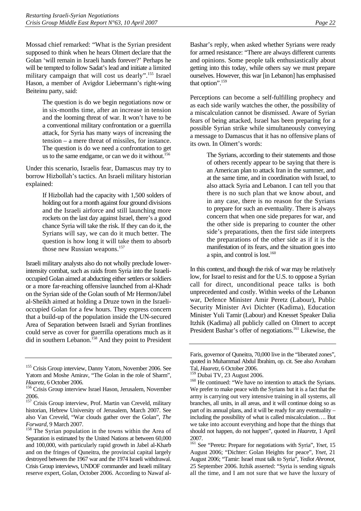Mossad chief remarked: "What is the Syrian president supposed to think when he hears Olmert declare that the Golan 'will remain in Israeli hands forever?' Perhaps he will be tempted to follow Sadat's lead and initiate a limited military campaign that will cost us dearly".<sup>155</sup> Israel Hason, a member of Avigdor Liebermann's right-wing Beiteinu party, said:

> The question is do we begin negotiations now or in six-months time, after an increase in tension and the looming threat of war. It won't have to be a conventional military confrontation or a guerrilla attack, for Syria has many ways of increasing the tension – a mere threat of missiles, for instance. The question is do we need a confrontation to get us to the same endgame, or can we do it without.<sup>156</sup>

Under this scenario, Israelis fear, Damascus may try to borrow Hizbollah's tactics. An Israeli military historian explained:

> If Hizbollah had the capacity with 1,500 solders of holding out for a month against four ground divisions and the Israeli airforce and still launching more rockets on the last day against Israel, there's a good chance Syria will take the risk. If they can do it, the Syrians will say, we can do it much better. The question is how long it will take them to absorb those new Russian weapons.<sup>157</sup>

Israeli military analysts also do not wholly preclude lowerintensity combat, such as raids from Syria into the Israelioccupied Golan aimed at abducting either settlers or soldiers or a more far-reaching offensive launched from al-Khadr on the Syrian side of the Golan south of Mr Hermon/Jabel al-Sheikh aimed at holding a Druze town in the Israelioccupied Golan for a few hours. They express concern that a build-up of the population inside the UN-secured Area of Separation between Israeli and Syrian frontlines could serve as cover for guerrilla operations much as it did in southern Lebanon.<sup>158</sup> And they point to President Bashar's reply, when asked whether Syrians were ready for armed resistance: "There are always different currents and opinions. Some people talk enthusiastically about getting into this today, while others say we must prepare ourselves. However, this war [in Lebanon] has emphasised that option".<sup>[159](#page-25-4)</sup>

Perceptions can become a self-fulfilling prophecy and as each side warily watches the other, the possibility of a miscalculation cannot be dismissed. Aware of Syrian fears of being attacked, Israel has been preparing for a possible Syrian strike while simultaneously conveying a message to Damascus that it has no offensive plans of its own. In Olmert's words:

> The Syrians, according to their statements and those of others recently appear to be saying that there is an American plan to attack Iran in the summer, and at the same time, and in coordination with Israel, to also attack Syria and Lebanon. I can tell you that there is no such plan that we know about, and in any case, there is no reason for the Syrians to prepare for such an eventuality. There is always concern that when one side prepares for war, and the other side is preparing to counter the other side's preparations, then the first side interprets the preparations of the other side as if it is the manifestation of its fears, and the situation goes into a spin, and control is lost.<sup>160</sup>

In this context, and though the risk of war may be relatively low, for Israel to resist and for the U.S. to oppose a Syrian call for direct, unconditional peace talks is both unprecedented and costly. Within weeks of the Lebanon war, Defence Minister Amir Peretz (Labour), Public Security Minister Avi Dichter (Kadima), Education Minister Yuli Tamir (Labour) and Knesset Speaker Dalia Itzhik (Kadima) all publicly called on Olmert to accept President Bashar's offer of negotiations.<sup>161</sup> Likewise, the

<span id="page-25-0"></span><sup>&</sup>lt;sup>155</sup> Crisis Group interview, Danny Yatom, November 2006. See Yatom and Moshe Amirav, "The Golan in the role of Sharm",

<span id="page-25-1"></span>*Haaretz*, 6 October 2006.<br><sup>156</sup> Crisis Group interview Israel Hason, Jerusalem, November 2006.

<span id="page-25-2"></span><sup>&</sup>lt;sup>157</sup> Crisis Group interview, Prof. Martin van Creveld, military historian, Hebrew University of Jerusalem, March 2007. See also Van Creveld, "War clouds gather over the Golan", *The* 

<span id="page-25-3"></span><sup>&</sup>lt;sup>158</sup> The Syrian population in the towns within the Area of Separation is estimated by the United Nations at between 60,000 and 100,000, with particularly rapid growth in Jabel al-Kharb and on the fringes of Quneitra, the provincial capital largely destroyed between the 1967 war and the 1974 Israeli withdrawal. Crisis Group interviews, UNDOF commander and Israeli military reserve expert, Golan, October 2006. According to Nawaf al-

Faris, governor of Quneitra, 70,000 live in the "liberated zones", quoted in Muhammad Abdul Ibrahim, op. cit. See also Avraham

<span id="page-25-4"></span>Tal, *Haaretz*, 6 October 2006.

<span id="page-25-5"></span> $160$  He continued: "We have no intention to attack the Syrians. We prefer to make peace with the Syrians but it is a fact that the army is carrying out very intensive training in all systems, all branches, all units, in all areas, and it will continue doing so as part of its annual plans, and it will be ready for any eventuality – including the possibility of what is called miscalculation…. But we take into account everything and hope that the things that should not happen, do not happen", quoted in *Haaretz*, 1 April 2007.

<span id="page-25-6"></span><sup>161</sup> See "Peretz: Prepare for negotiations with Syria", *Ynet*, 15 August 2006; "Dichter: Golan Heights for peace", *Ynet*, 21 August 2006; "Tamir: Israel must talk to Syria", *Yediot Ahronot*, 25 September 2006. Itzhik asserted: "Syria is sending signals all the time, and I am not sure that we have the luxury of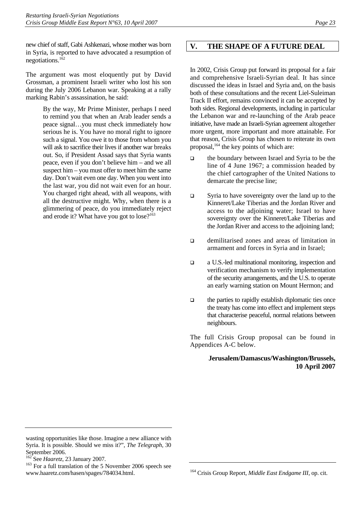new chief of staff, Gabi Ashkenazi, whose mother was born in Syria, is reported to have advocated a resumption of negotiations.[162](#page-26-1)

The argument was most eloquently put by David Grossman, a prominent Israeli writer who lost his son during the July 2006 Lebanon war. Speaking at a rally marking Rabin's assassination, he said:

> By the way, Mr Prime Minister, perhaps I need to remind you that when an Arab leader sends a peace signal…you must check immediately how serious he is. You have no moral right to ignore such a signal. You owe it to those from whom you will ask to sacrifice their lives if another war breaks out. So, if President Assad says that Syria wants peace, even if you don't believe him – and we all suspect him – you must offer to meet him the same day. Don't wait even one day. When you went into the last war, you did not wait even for an hour. You charged right ahead, with all weapons, with all the destructive might. Why, when there is a glimmering of peace, do you immediately reject and erode it? What have you got to  $\log^{163}$  $\log^{163}$  $\log^{163}$

# <span id="page-26-0"></span>**V. THE SHAPE OF A FUTURE DEAL**

In 2002, Crisis Group put forward its proposal for a fair and comprehensive Israeli-Syrian deal. It has since discussed the ideas in Israel and Syria and, on the basis both of these consultations and the recent Liel-Suleiman Track II effort, remains convinced it can be accepted by both sides. Regional developments, including in particular the Lebanon war and re-launching of the Arab peace initiative, have made an Israeli-Syrian agreement altogether more urgent, more important and more attainable. For that reason, Crisis Group has chosen to reiterate its own proposal,<sup>164</sup> the key points of which are:

- the boundary between Israel and Syria to be the line of 4 June 1967; a commission headed by the chief cartographer of the United Nations to demarcate the precise line;
- $\Box$  Syria to have sovereignty over the land up to the Kinneret/Lake Tiberias and the Jordan River and access to the adjoining water; Israel to have sovereignty over the Kinneret/Lake Tiberias and the Jordan River and access to the adjoining land;
- demilitarised zones and areas of limitation in armament and forces in Syria and in Israel;
- a U.S.-led multinational monitoring, inspection and verification mechanism to verify implementation of the security arrangements, and the U.S. to operate an early warning station on Mount Hermon; and
- $\Box$  the parties to rapidly establish diplomatic ties once the treaty has come into effect and implement steps that characterise peaceful, normal relations between neighbours.

The full Crisis Group proposal can be found in Appendices A-C below.

#### **Jerusalem/Damascus/Washington/Brussels, 10 April 2007**

wasting opportunities like those. Imagine a new alliance with Syria. It is possible. Should we miss it?", *The Telegraph*, 30 September 2006.<br><sup>162</sup> See *Haaretz*, 23 January 2007.

<span id="page-26-1"></span>

<span id="page-26-2"></span>For a full translation of the 5 November 2006 speech see www.haaretz.com/hasen/spages/784034.html.

<span id="page-26-3"></span><sup>164</sup> Crisis Group Report, *Middle East Endgame III*, op. cit.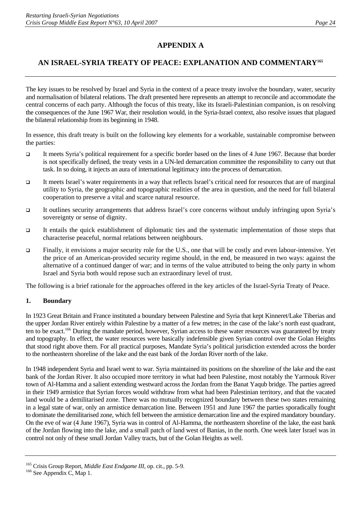# **APPENDIX A**

# **AN ISRAEL-SYRIA TREATY OF PEACE: EXPLANATION AND COMMENTAR[Y165](#page-27-0)**

The key issues to be resolved by Israel and Syria in the context of a peace treaty involve the boundary, water, security and normalisation of bilateral relations. The draft presented here represents an attempt to reconcile and accommodate the central concerns of each party. Although the focus of this treaty, like its Israeli-Palestinian companion, is on resolving the consequences of the June 1967 War, their resolution would, in the Syria-Israel context, also resolve issues that plagued the bilateral relationship from its beginning in 1948.

In essence, this draft treaty is built on the following key elements for a workable, sustainable compromise between the parties:

- It meets Syria's political requirement for a specific border based on the lines of 4 June 1967. Because that border is not specifically defined, the treaty vests in a UN-led demarcation committee the responsibility to carry out that task. In so doing, it injects an aura of international legitimacy into the process of demarcation.
- It meets Israel's water requirements in a way that reflects Israel's critical need for resources that are of marginal utility to Syria, the geographic and topographic realities of the area in question, and the need for full bilateral cooperation to preserve a vital and scarce natural resource.
- It outlines security arrangements that address Israel's core concerns without unduly infringing upon Syria's sovereignty or sense of dignity.
- $\Box$  It entails the quick establishment of diplomatic ties and the systematic implementation of those steps that characterise peaceful, normal relations between neighbours.
- Finally, it envisions a major security role for the U.S., one that will be costly and even labour-intensive. Yet the price of an American-provided security regime should, in the end, be measured in two ways: against the alternative of a continued danger of war; and in terms of the value attributed to being the only party in whom Israel and Syria both would repose such an extraordinary level of trust.

The following is a brief rationale for the approaches offered in the key articles of the Israel-Syria Treaty of Peace.

### **1. Boundary**

In 1923 Great Britain and France instituted a boundary between Palestine and Syria that kept Kinneret/Lake Tiberias and the upper Jordan River entirely within Palestine by a matter of a few metres; in the case of the lake's north east quadrant, ten to be exact.<sup>166</sup> During the mandate period, however, Syrian access to these water resources was guaranteed by treaty and topography. In effect, the water resources were basically indefensible given Syrian control over the Golan Heights that stood right above them. For all practical purposes, Mandate Syria's political jurisdiction extended across the border to the northeastern shoreline of the lake and the east bank of the Jordan River north of the lake.

In 1948 independent Syria and Israel went to war. Syria maintained its positions on the shoreline of the lake and the east bank of the Jordan River. It also occupied more territory in what had been Palestine, most notably the Yarmouk River town of Al-Hamma and a salient extending westward across the Jordan from the Banat Yaqub bridge. The parties agreed in their 1949 armistice that Syrian forces would withdraw from what had been Palestinian territory, and that the vacated land would be a demilitarised zone. There was no mutually recognized boundary between these two states remaining in a legal state of war, only an armistice demarcation line. Between 1951 and June 1967 the parties sporadically fought to dominate the demilitarised zone, which fell between the armistice demarcation line and the expired mandatory boundary. On the eve of war (4 June 1967), Syria was in control of Al-Hamma, the northeastern shoreline of the lake, the east bank of the Jordan flowing into the lake, and a small patch of land west of Banias, in the north. One week later Israel was in control not only of these small Jordan Valley tracts, but of the Golan Heights as well.

<span id="page-27-0"></span><sup>&</sup>lt;sup>165</sup> Crisis Group Report, *Middle East Endgame III*, op. cit., pp. 5-9.<br><sup>166</sup> See Appendix C, Map 1.

<span id="page-27-1"></span>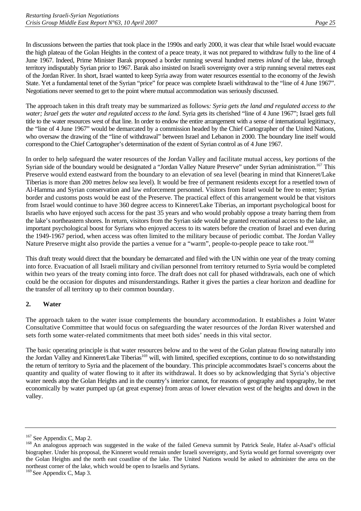In discussions between the parties that took place in the 1990s and early 2000, it was clear that while Israel would evacuate the high plateau of the Golan Heights in the context of a peace treaty, it was not prepared to withdraw fully to the line of 4 June 1967. Indeed, Prime Minister Barak proposed a border running several hundred metres *inland* of the lake, through territory indisputably Syrian prior to 1967. Barak also insisted on Israeli sovereignty over a strip running several metres east of the Jordan River. In short, Israel wanted to keep Syria away from water resources essential to the economy of the Jewish State. Yet a fundamental tenet of the Syrian "price" for peace was complete Israeli withdrawal to the "line of 4 June 1967". Negotiations never seemed to get to the point where mutual accommodation was seriously discussed.

The approach taken in this draft treaty may be summarized as follows*: Syria gets the land and regulated access to the water; Israel gets the water and regulated access to the land*. Syria gets its cherished "line of 4 June 1967"; Israel gets full title to the water resources west of that line. In order to endow the entire arrangement with a sense of international legitimacy, the "line of 4 June 1967" would be demarcated by a commission headed by the Chief Cartographer of the United Nations, who oversaw the drawing of the "line of withdrawal" between Israel and Lebanon in 2000. The boundary line itself would correspond to the Chief Cartographer's determination of the extent of Syrian control as of 4 June 1967.

In order to help safeguard the water resources of the Jordan Valley and facilitate mutual access, key portions of the Syrian side of the boundary would be designated a "Jordan Valley Nature Preserve" under Syrian administration.<sup>167</sup> This Preserve would extend eastward from the boundary to an elevation of sea level (bearing in mind that Kinneret/Lake Tiberias is more than 200 metres *below* sea level). It would be free of permanent residents except for a resettled town of Al-Hamma and Syrian conservation and law enforcement personnel. Visitors from Israel would be free to enter; Syrian border and customs posts would be east of the Preserve. The practical effect of this arrangement would be that visitors from Israel would continue to have 360 degree access to Kinneret/Lake Tiberias, an important psychological boost for Israelis who have enjoyed such access for the past 35 years and who would probably oppose a treaty barring them from the lake's northeastern shores. In return, visitors from the Syrian side would be granted recreational access to the lake, an important psychological boost for Syrians who enjoyed access to its waters before the creation of Israel and even during the 1949-1967 period, when access was often limited to the military because of periodic combat. The Jordan Valley Nature Preserve might also provide the parties a venue for a "warm", people-to-people peace to take root.<sup>[168](#page-28-1)</sup>

This draft treaty would direct that the boundary be demarcated and filed with the UN within one year of the treaty coming into force. Evacuation of all Israeli military and civilian personnel from territory returned to Syria would be completed within two years of the treaty coming into force. The draft does not call for phased withdrawals, each one of which could be the occasion for disputes and misunderstandings. Rather it gives the parties a clear horizon and deadline for the transfer of all territory up to their common boundary.

### **2. Water**

The approach taken to the water issue complements the boundary accommodation. It establishes a Joint Water Consultative Committee that would focus on safeguarding the water resources of the Jordan River watershed and sets forth some water-related commitments that meet both sides' needs in this vital sector.

The basic operating principle is that water resources below and to the west of the Golan plateau flowing naturally into the Jordan Valley and Kinneret/Lake Tiberias<sup>169</sup> will, with limited, specified exceptions, continue to do so notwithstanding the return of territory to Syria and the placement of the boundary. This principle accommodates Israel's concerns about the quantity and quality of water flowing to it after its withdrawal. It does so by acknowledging that Syria's objective water needs atop the Golan Heights and in the country's interior cannot, for reasons of geography and topography, be met economically by water pumped up (at great expense) from areas of lower elevation west of the heights and down in the valley.

<span id="page-28-1"></span><span id="page-28-0"></span>

<sup>&</sup>lt;sup>167</sup> See Appendix C, Map 2.<br><sup>168</sup> An analogous approach was suggested in the wake of the failed Geneva summit by Patrick Seale, Hafez al-Asad's official biographer. Under his proposal, the Kinneret would remain under Israeli sovereignty, and Syria would get formal sovereignty over the Golan Heights and the north east coastline of the lake. The United Nations would be asked to administer the area on the northeast corner of the lake, which would be open to Israelis and Syrians.

<span id="page-28-2"></span><sup>&</sup>lt;sup>169</sup> See Appendix C, Map 3.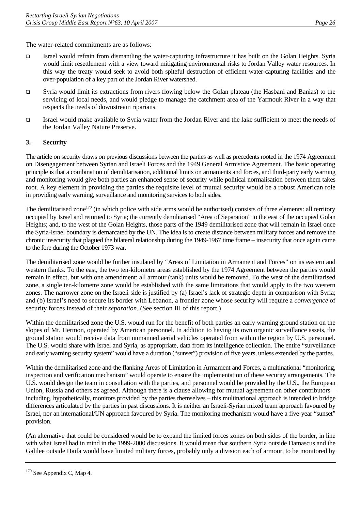The water-related commitments are as follows:

- Israel would refrain from dismantling the water-capturing infrastructure it has built on the Golan Heights. Syria would limit resettlement with a view toward mitigating environmental risks to Jordan Valley water resources. In this way the treaty would seek to avoid both spiteful destruction of efficient water-capturing facilities and the over-population of a key part of the Jordan River watershed.
- Syria would limit its extractions from rivers flowing below the Golan plateau (the Hasbani and Banias) to the servicing of local needs, and would pledge to manage the catchment area of the Yarmouk River in a way that respects the needs of downstream riparians.
- Israel would make available to Syria water from the Jordan River and the lake sufficient to meet the needs of the Jordan Valley Nature Preserve.

### **3. Security**

The article on security draws on previous discussions between the parties as well as precedents rooted in the 1974 Agreement on Disengagement between Syrian and Israeli Forces and the 1949 General Armistice Agreement. The basic operating principle is that a combination of demilitarisation, additional limits on armaments and forces, and third-party early warning and monitoring would give both parties an enhanced sense of security while political normalisation between them takes root. A key element in providing the parties the requisite level of mutual security would be a robust American role in providing early warning, surveillance and monitoring services to both sides.

The demilitarised zone<sup>170</sup> (in which police with side arms would be authorised) consists of three elements: all territory occupied by Israel and returned to Syria; the currently demilitarised "Area of Separation" to the east of the occupied Golan Heights; and, to the west of the Golan Heights, those parts of the 1949 demilitarised zone that will remain in Israel once the Syria-Israel boundary is demarcated by the UN. The idea is to create distance between military forces and remove the chronic insecurity that plagued the bilateral relationship during the 1949-1967 time frame – insecurity that once again came to the fore during the October 1973 war.

The demilitarised zone would be further insulated by "Areas of Limitation in Armament and Forces" on its eastern and western flanks. To the east, the two ten-kilometre areas established by the 1974 Agreement between the parties would remain in effect, but with one amendment: all armour (tank) units would be removed. To the west of the demilitarised zone, a single ten-kilometre zone would be established with the same limitations that would apply to the two western zones. The narrower zone on the Israeli side is justified by (a) Israel's lack of strategic depth in comparison with Syria; and (b) Israel's need to secure its border with Lebanon, a frontier zone whose security will require a *convergence* of security forces instead of their *separation*. (See section III of this report.)

Within the demilitarised zone the U.S. would run for the benefit of both parties an early warning ground station on the slopes of Mt. Hermon, operated by American personnel. In addition to having its own organic surveillance assets, the ground station would receive data from unmanned aerial vehicles operated from within the region by U.S. personnel. The U.S. would share with Israel and Syria, as appropriate, data from its intelligence collection. The entire "surveillance and early warning security system" would have a duration ("sunset") provision of five years, unless extended by the parties.

Within the demilitarised zone and the flanking Areas of Limitation in Armament and Forces, a multinational "monitoring, inspection and verification mechanism" would operate to ensure the implementation of these security arrangements. The U.S. would design the team in consultation with the parties, and personnel would be provided by the U.S., the European Union, Russia and others as agreed. Although there is a clause allowing for mutual agreement on other contributors – including, hypothetically, monitors provided by the parties themselves – this multinational approach is intended to bridge differences articulated by the parties in past discussions. It is neither an Israeli-Syrian mixed team approach favoured by Israel, nor an international/UN approach favoured by Syria. The monitoring mechanism would have a five-year "sunset" provision.

(An alternative that could be considered would be to expand the limited forces zones on both sides of the border, in line with what Israel had in mind in the 1999-2000 discussions. It would mean that southern Syria outside Damascus and the Galilee outside Haifa would have limited military forces, probably only a division each of armour, to be monitored by

<span id="page-29-0"></span> $170$  See Appendix C, Map 4.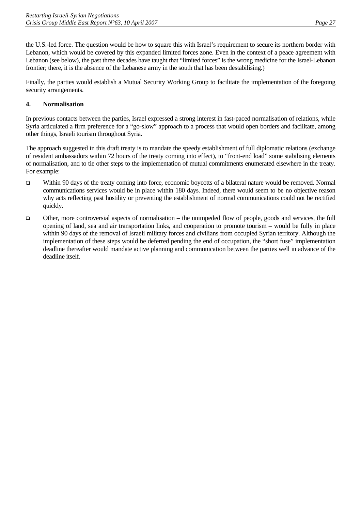the U.S.-led force. The question would be how to square this with Israel's requirement to secure its northern border with Lebanon, which would be covered by this expanded limited forces zone. Even in the context of a peace agreement with Lebanon (see below), the past three decades have taught that "limited forces" is the wrong medicine for the Israel-Lebanon frontier; there, it is the absence of the Lebanese army in the south that has been destabilising.)

Finally, the parties would establish a Mutual Security Working Group to facilitate the implementation of the foregoing security arrangements.

### **4. Normalisation**

In previous contacts between the parties, Israel expressed a strong interest in fast-paced normalisation of relations, while Syria articulated a firm preference for a "go-slow" approach to a process that would open borders and facilitate, among other things, Israeli tourism throughout Syria.

The approach suggested in this draft treaty is to mandate the speedy establishment of full diplomatic relations (exchange of resident ambassadors within 72 hours of the treaty coming into effect), to "front-end load" some stabilising elements of normalisation, and to tie other steps to the implementation of mutual commitments enumerated elsewhere in the treaty. For example:

- Within 90 days of the treaty coming into force, economic boycotts of a bilateral nature would be removed. Normal communications services would be in place within 180 days. Indeed, there would seem to be no objective reason why acts reflecting past hostility or preventing the establishment of normal communications could not be rectified quickly.
- $\Box$  Other, more controversial aspects of normalisation the unimpeded flow of people, goods and services, the full opening of land, sea and air transportation links, and cooperation to promote tourism – would be fully in place within 90 days of the removal of Israeli military forces and civilians from occupied Syrian territory. Although the implementation of these steps would be deferred pending the end of occupation, the "short fuse" implementation deadline thereafter would mandate active planning and communication between the parties well in advance of the deadline itself.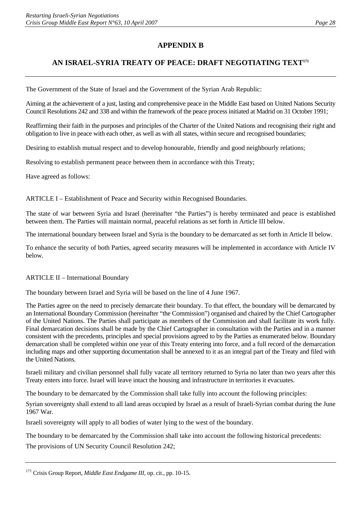# **APPENDIX B**

# **AN ISRAEL-SYRIA TREATY OF PEACE: DRAFT NEGOTIATING TEX[T171](#page-31-0)**

The Government of the State of Israel and the Government of the Syrian Arab Republic:

Aiming at the achievement of a just, lasting and comprehensive peace in the Middle East based on United Nations Security Council Resolutions 242 and 338 and within the framework of the peace process initiated at Madrid on 31 October 1991;

Reaffirming their faith in the purposes and principles of the Charter of the United Nations and recognising their right and obligation to live in peace with each other, as well as with all states, within secure and recognised boundaries;

Desiring to establish mutual respect and to develop honourable, friendly and good neighbourly relations;

Resolving to establish permanent peace between them in accordance with this Treaty;

Have agreed as follows:

ARTICLE I – Establishment of Peace and Security within Recognised Boundaries.

The state of war between Syria and Israel (hereinafter "the Parties") is hereby terminated and peace is established between them. The Parties will maintain normal, peaceful relations as set forth in Article III below.

The international boundary between Israel and Syria is the boundary to be demarcated as set forth in Article II below.

To enhance the security of both Parties, agreed security measures will be implemented in accordance with Article IV below.

#### ARTICLE II – International Boundary

The boundary between Israel and Syria will be based on the line of 4 June 1967.

The Parties agree on the need to precisely demarcate their boundary. To that effect, the boundary will be demarcated by an International Boundary Commission (hereinafter "the Commission") organised and chaired by the Chief Cartographer of the United Nations. The Parties shall participate as members of the Commission and shall facilitate its work fully. Final demarcation decisions shall be made by the Chief Cartographer in consultation with the Parties and in a manner consistent with the precedents, principles and special provisions agreed to by the Parties as enumerated below. Boundary demarcation shall be completed within one year of this Treaty entering into force, and a full record of the demarcation including maps and other supporting documentation shall be annexed to it as an integral part of the Treaty and filed with the United Nations.

Israeli military and civilian personnel shall fully vacate all territory returned to Syria no later than two years after this Treaty enters into force. Israel will leave intact the housing and infrastructure in territories it evacuates.

The boundary to be demarcated by the Commission shall take fully into account the following principles:

Syrian sovereignty shall extend to all land areas occupied by Israel as a result of Israeli-Syrian combat during the June 1967 War.

Israeli sovereignty will apply to all bodies of water lying to the west of the boundary.

The boundary to be demarcated by the Commission shall take into account the following historical precedents:

The provisions of UN Security Council Resolution 242;

<span id="page-31-0"></span><sup>&</sup>lt;sup>171</sup> Crisis Group Report, *Middle East Endgame III*, op. cit., pp. 10-15.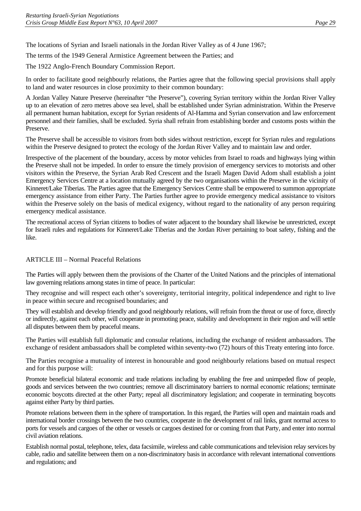The locations of Syrian and Israeli nationals in the Jordan River Valley as of 4 June 1967;

The terms of the 1949 General Armistice Agreement between the Parties; and

The 1922 Anglo-French Boundary Commission Report.

In order to facilitate good neighbourly relations, the Parties agree that the following special provisions shall apply to land and water resources in close proximity to their common boundary:

A Jordan Valley Nature Preserve (hereinafter "the Preserve"), covering Syrian territory within the Jordan River Valley up to an elevation of zero metres above sea level, shall be established under Syrian administration. Within the Preserve all permanent human habitation, except for Syrian residents of Al-Hamma and Syrian conservation and law enforcement personnel and their families, shall be excluded. Syria shall refrain from establishing border and customs posts within the Preserve.

The Preserve shall be accessible to visitors from both sides without restriction, except for Syrian rules and regulations within the Preserve designed to protect the ecology of the Jordan River Valley and to maintain law and order.

Irrespective of the placement of the boundary, access by motor vehicles from Israel to roads and highways lying within the Preserve shall not be impeded. In order to ensure the timely provision of emergency services to motorists and other visitors within the Preserve, the Syrian Arab Red Crescent and the Israeli Magen David Adom shall establish a joint Emergency Services Centre at a location mutually agreed by the two organisations within the Preserve in the vicinity of Kinneret/Lake Tiberias. The Parties agree that the Emergency Services Centre shall be empowered to summon appropriate emergency assistance from either Party. The Parties further agree to provide emergency medical assistance to visitors within the Preserve solely on the basis of medical exigency, without regard to the nationality of any person requiring emergency medical assistance.

The recreational access of Syrian citizens to bodies of water adjacent to the boundary shall likewise be unrestricted, except for Israeli rules and regulations for Kinneret/Lake Tiberias and the Jordan River pertaining to boat safety, fishing and the like.

#### ARTICLE III – Normal Peaceful Relations

The Parties will apply between them the provisions of the Charter of the United Nations and the principles of international law governing relations among states in time of peace. In particular:

They recognise and will respect each other's sovereignty, territorial integrity, political independence and right to live in peace within secure and recognised boundaries; and

They will establish and develop friendly and good neighbourly relations, will refrain from the threat or use of force, directly or indirectly, against each other, will cooperate in promoting peace, stability and development in their region and will settle all disputes between them by peaceful means.

The Parties will establish full diplomatic and consular relations, including the exchange of resident ambassadors. The exchange of resident ambassadors shall be completed within seventy-two (72) hours of this Treaty entering into force.

The Parties recognise a mutuality of interest in honourable and good neighbourly relations based on mutual respect and for this purpose will:

Promote beneficial bilateral economic and trade relations including by enabling the free and unimpeded flow of people, goods and services between the two countries; remove all discriminatory barriers to normal economic relations; terminate economic boycotts directed at the other Party; repeal all discriminatory legislation; and cooperate in terminating boycotts against either Party by third parties.

Promote relations between them in the sphere of transportation. In this regard, the Parties will open and maintain roads and international border crossings between the two countries, cooperate in the development of rail links, grant normal access to ports for vessels and cargoes of the other or vessels or cargoes destined for or coming from that Party, and enter into normal civil aviation relations.

Establish normal postal, telephone, telex, data facsimile, wireless and cable communications and television relay services by cable, radio and satellite between them on a non-discriminatory basis in accordance with relevant international conventions and regulations; and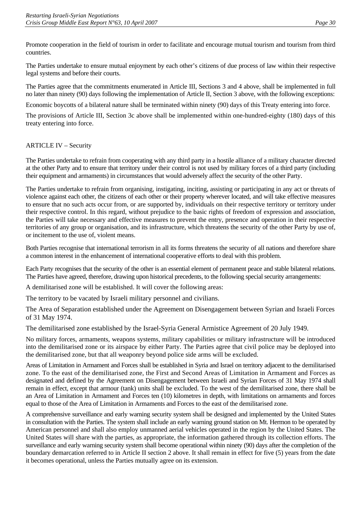Promote cooperation in the field of tourism in order to facilitate and encourage mutual tourism and tourism from third countries.

The Parties undertake to ensure mutual enjoyment by each other's citizens of due process of law within their respective legal systems and before their courts.

The Parties agree that the commitments enumerated in Article III, Sections 3 and 4 above, shall be implemented in full no later than ninety (90) days following the implementation of Article II, Section 3 above, with the following exceptions:

Economic boycotts of a bilateral nature shall be terminated within ninety (90) days of this Treaty entering into force.

The provisions of Article III, Section 3c above shall be implemented within one-hundred-eighty (180) days of this treaty entering into force.

### ARTICLE IV – Security

The Parties undertake to refrain from cooperating with any third party in a hostile alliance of a military character directed at the other Party and to ensure that territory under their control is not used by military forces of a third party (including their equipment and armaments) in circumstances that would adversely affect the security of the other Party.

The Parties undertake to refrain from organising, instigating, inciting, assisting or participating in any act or threats of violence against each other, the citizens of each other or their property wherever located, and will take effective measures to ensure that no such acts occur from, or are supported by, individuals on their respective territory or territory under their respective control. In this regard, without prejudice to the basic rights of freedom of expression and association, the Parties will take necessary and effective measures to prevent the entry, presence and operation in their respective territories of any group or organisation, and its infrastructure, which threatens the security of the other Party by use of, or incitement to the use of, violent means.

Both Parties recognise that international terrorism in all its forms threatens the security of all nations and therefore share a common interest in the enhancement of international cooperative efforts to deal with this problem.

Each Party recognises that the security of the other is an essential element of permanent peace and stable bilateral relations. The Parties have agreed, therefore, drawing upon historical precedents, to the following special security arrangements:

A demilitarised zone will be established. It will cover the following areas:

The territory to be vacated by Israeli military personnel and civilians.

The Area of Separation established under the Agreement on Disengagement between Syrian and Israeli Forces of 31 May 1974.

The demilitarised zone established by the Israel-Syria General Armistice Agreement of 20 July 1949.

No military forces, armaments, weapons systems, military capabilities or military infrastructure will be introduced into the demilitarised zone or its airspace by either Party. The Parties agree that civil police may be deployed into the demilitarised zone, but that all weaponry beyond police side arms will be excluded.

Areas of Limitation in Armament and Forces shall be established in Syria and Israel on territory adjacent to the demilitarised zone. To the east of the demilitarised zone, the First and Second Areas of Limitation in Armament and Forces as designated and defined by the Agreement on Disengagement between Israeli and Syrian Forces of 31 May 1974 shall remain in effect, except that armour (tank) units shall be excluded. To the west of the demilitarised zone, there shall be an Area of Limitation in Armament and Forces ten (10) kilometres in depth, with limitations on armaments and forces equal to those of the Area of Limitation in Armaments and Forces to the east of the demilitarised zone.

A comprehensive surveillance and early warning security system shall be designed and implemented by the United States in consultation with the Parties. The system shall include an early warning ground station on Mt. Hermon to be operated by American personnel and shall also employ unmanned aerial vehicles operated in the region by the United States. The United States will share with the parties, as appropriate, the information gathered through its collection efforts. The surveillance and early warning security system shall become operational within ninety (90) days after the completion of the boundary demarcation referred to in Article II section 2 above. It shall remain in effect for five (5) years from the date it becomes operational, unless the Parties mutually agree on its extension.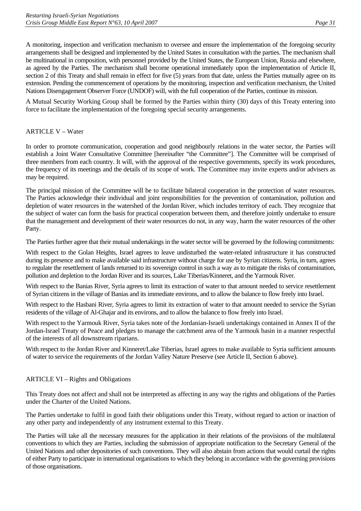A monitoring, inspection and verification mechanism to oversee and ensure the implementation of the foregoing security arrangements shall be designed and implemented by the United States in consultation with the parties. The mechanism shall be multinational in composition, with personnel provided by the United States, the European Union, Russia and elsewhere, as agreed by the Parties. The mechanism shall become operational immediately upon the implementation of Article II, section 2 of this Treaty and shall remain in effect for five (5) years from that date, unless the Parties mutually agree on its extension. Pending the commencement of operations by the monitoring, inspection and verification mechanism, the United Nations Disengagement Observer Force (UNDOF) will, with the full cooperation of the Parties, continue its mission.

A Mutual Security Working Group shall be formed by the Parties within thirty (30) days of this Treaty entering into force to facilitate the implementation of the foregoing special security arrangements.

### ARTICLE V – Water

In order to promote communication, cooperation and good neighbourly relations in the water sector, the Parties will establish a Joint Water Consultative Committee [hereinafter "the Committee"]. The Committee will be comprised of three members from each country. It will, with the approval of the respective governments, specify its work procedures, the frequency of its meetings and the details of its scope of work. The Committee may invite experts and/or advisers as may be required.

The principal mission of the Committee will be to facilitate bilateral cooperation in the protection of water resources. The Parties acknowledge their individual and joint responsibilities for the prevention of contamination, pollution and depletion of water resources in the watershed of the Jordan River, which includes territory of each. They recognize that the subject of water can form the basis for practical cooperation between them, and therefore jointly undertake to ensure that the management and development of their water resources do not, in any way, harm the water resources of the other Party.

The Parties further agree that their mutual undertakings in the water sector will be governed by the following commitments:

With respect to the Golan Heights, Israel agrees to leave undisturbed the water-related infrastructure it has constructed during its presence and to make available said infrastructure without charge for use by Syrian citizens. Syria, in turn, agrees to regulate the resettlement of lands returned to its sovereign control in such a way as to mitigate the risks of contamination, pollution and depletion to the Jordan River and its sources, Lake Tiberias/Kinneret, and the Yarmouk River.

With respect to the Banias River, Syria agrees to limit its extraction of water to that amount needed to service resettlement of Syrian citizens in the village of Banias and its immediate environs, and to allow the balance to flow freely into Israel.

With respect to the Hasbani River, Syria agrees to limit its extraction of water to that amount needed to service the Syrian residents of the village of Al-Ghajar and its environs, and to allow the balance to flow freely into Israel.

With respect to the Yarmouk River, Syria takes note of the Jordanian-Israeli undertakings contained in Annex II of the Jordan-Israel Treaty of Peace and pledges to manage the catchment area of the Yarmouk basin in a manner respectful of the interests of all downstream riparians.

With respect to the Jordan River and Kinneret/Lake Tiberias, Israel agrees to make available to Syria sufficient amounts of water to service the requirements of the Jordan Valley Nature Preserve (see Article II, Section 6 above).

#### ARTICLE VI – Rights and Obligations

This Treaty does not affect and shall not be interpreted as affecting in any way the rights and obligations of the Parties under the Charter of the United Nations.

The Parties undertake to fulfil in good faith their obligations under this Treaty, without regard to action or inaction of any other party and independently of any instrument external to this Treaty.

The Parties will take all the necessary measures for the application in their relations of the provisions of the multilateral conventions to which they are Parties, including the submission of appropriate notification to the Secretary General of the United Nations and other depositories of such conventions. They will also abstain from actions that would curtail the rights of either Party to participate in international organisations to which they belong in accordance with the governing provisions of those organisations.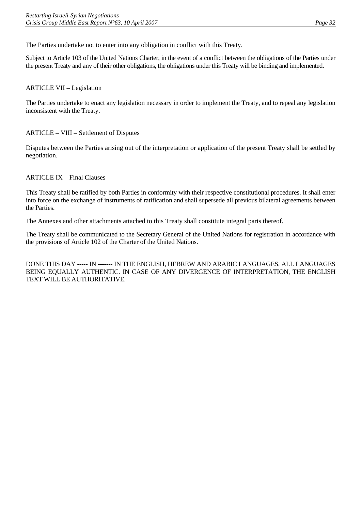The Parties undertake not to enter into any obligation in conflict with this Treaty.

Subject to Article 103 of the United Nations Charter, in the event of a conflict between the obligations of the Parties under the present Treaty and any of their other obligations, the obligations under this Treaty will be binding and implemented.

### ARTICLE VII – Legislation

The Parties undertake to enact any legislation necessary in order to implement the Treaty, and to repeal any legislation inconsistent with the Treaty.

### ARTICLE – VIII – Settlement of Disputes

Disputes between the Parties arising out of the interpretation or application of the present Treaty shall be settled by negotiation.

### ARTICLE IX – Final Clauses

This Treaty shall be ratified by both Parties in conformity with their respective constitutional procedures. It shall enter into force on the exchange of instruments of ratification and shall supersede all previous bilateral agreements between the Parties.

The Annexes and other attachments attached to this Treaty shall constitute integral parts thereof.

The Treaty shall be communicated to the Secretary General of the United Nations for registration in accordance with the provisions of Article 102 of the Charter of the United Nations.

DONE THIS DAY ----- IN ------- IN THE ENGLISH, HEBREW AND ARABIC LANGUAGES, ALL LANGUAGES BEING EQUALLY AUTHENTIC. IN CASE OF ANY DIVERGENCE OF INTERPRETATION, THE ENGLISH TEXT WILL BE AUTHORITATIVE.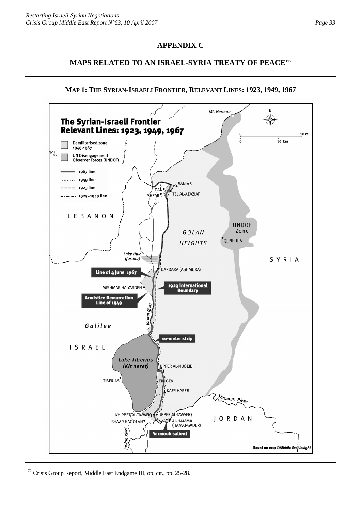# **APPENDIX C**

# **MAPS RELATED TO AN ISRAEL-SYRIA TREATY OF PEAC[E172](#page-36-0)**



# **MAP 1: THE SYRIAN-ISRAELI FRONTIER, RELEVANT LINES: 1923, 1949, 1967**

<span id="page-36-0"></span>172 Crisis Group Report, Middle East Endgame III, op. cit., pp. 25-28.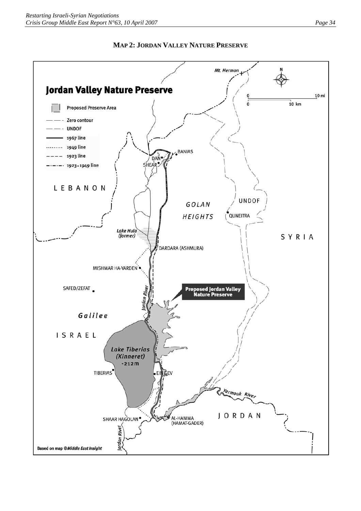

### **MAP 2: JORDAN VALLEY NATURE PRESERVE**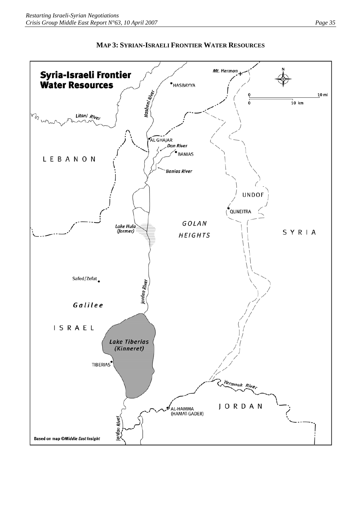

### **MAP 3: SYRIAN-ISRAELI FRONTIER WATER RESOURCES**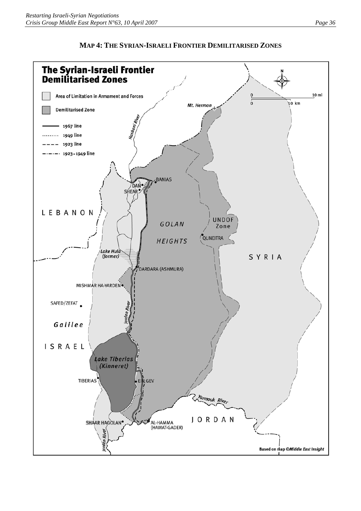

# **MAP 4: THE SYRIAN-ISRAELI FRONTIER DEMILITARISED ZONES**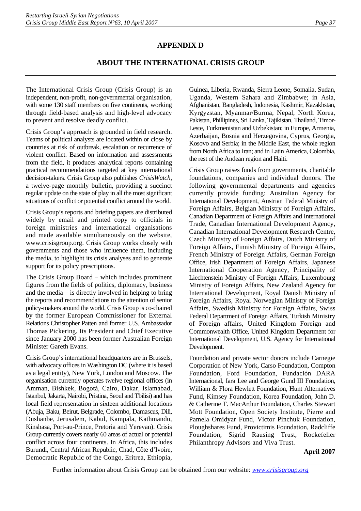# **APPENDIX D**

# **ABOUT THE INTERNATIONAL CRISIS GROUP**

The International Crisis Group (Crisis Group) is an independent, non-profit, non-governmental organisation, with some 130 staff members on five continents, working through field-based analysis and high-level advocacy to prevent and resolve deadly conflict.

Crisis Group's approach is grounded in field research. Teams of political analysts are located within or close by countries at risk of outbreak, escalation or recurrence of violent conflict. Based on information and assessments from the field, it produces analytical reports containing practical recommendations targeted at key international decision-takers. Crisis Group also publishes *CrisisWatch*, a twelve-page monthly bulletin, providing a succinct regular update on the state of play in all the most significant situations of conflict or potential conflict around the world.

Crisis Group's reports and briefing papers are distributed widely by email and printed copy to officials in foreign ministries and international organisations and made available simultaneously on the website, www.crisisgroup.org. Crisis Group works closely with governments and those who influence them, including the media, to highlight its crisis analyses and to generate support for its policy prescriptions.

The Crisis Group Board – which includes prominent figures from the fields of politics, diplomacy, business and the media – is directly involved in helping to bring the reports and recommendations to the attention of senior policy-makers around the world. Crisis Group is co-chaired by the former European Commissioner for External Relations Christopher Patten and former U.S. Ambassador Thomas Pickering. Its President and Chief Executive since January 2000 has been former Australian Foreign Minister Gareth Evans.

Crisis Group's international headquarters are in Brussels, with advocacy offices in Washington DC (where it is based as a legal entity), New York, London and Moscow. The organisation currently operates twelve regional offices (in Amman, Bishkek, Bogotá, Cairo, Dakar, Islamabad, Istanbul, Jakarta, Nairobi, Pristina, Seoul and Tbilisi) and has local field representation in sixteen additional locations (Abuja, Baku, Beirut, Belgrade, Colombo, Damascus, Dili, Dushanbe, Jerusalem, Kabul, Kampala, Kathmandu, Kinshasa, Port-au-Prince, Pretoria and Yerevan). Crisis Group currently covers nearly 60 areas of actual or potential conflict across four continents. In Africa, this includes Burundi, Central African Republic, Chad, Côte d'Ivoire, Democratic Republic of the Congo, Eritrea, Ethiopia,

Guinea, Liberia, Rwanda, Sierra Leone, Somalia, Sudan, Uganda, Western Sahara and Zimbabwe; in Asia, Afghanistan, Bangladesh, Indonesia, Kashmir, Kazakhstan, Kyrgyzstan, Myanmar/Burma, Nepal, North Korea, Pakistan, Phillipines, Sri Lanka, Tajikistan, Thailand, Timor-Leste, Turkmenistan and Uzbekistan; in Europe, Armenia, Azerbaijan, Bosnia and Herzegovina, Cyprus, Georgia, Kosovo and Serbia; in the Middle East, the whole region from North Africa to Iran; and in Latin America, Colombia, the rest of the Andean region and Haiti.

Crisis Group raises funds from governments, charitable foundations, companies and individual donors. The following governmental departments and agencies currently provide funding: Australian Agency for International Development, Austrian Federal Ministry of Foreign Affairs, Belgian Ministry of Foreign Affairs, Canadian Department of Foreign Affairs and International Trade, Canadian International Development Agency, Canadian International Development Research Centre, Czech Ministry of Foreign Affairs, Dutch Ministry of Foreign Affairs, Finnish Ministry of Foreign Affairs, French Ministry of Foreign Affairs, German Foreign Office, Irish Department of Foreign Affairs, Japanese International Cooperation Agency, Principality of Liechtenstein Ministry of Foreign Affairs, Luxembourg Ministry of Foreign Affairs, New Zealand Agency for International Development, Royal Danish Ministry of Foreign Affairs, Royal Norwegian Ministry of Foreign Affairs, Swedish Ministry for Foreign Affairs, Swiss Federal Department of Foreign Affairs, Turkish Ministry of Foreign affairs, United Kingdom Foreign and Commonwealth Office, United Kingdom Department for International Development, U.S. Agency for International Development.

Foundation and private sector donors include Carnegie Corporation of New York, Carso Foundation, Compton Foundation, Ford Foundation, Fundación DARA Internacional, Iara Lee and George Gund III Foundation, William & Flora Hewlett Foundation, Hunt Alternatives Fund, Kimsey Foundation, Korea Foundation, John D. & Catherine T. MacArthur Foundation, Charles Stewart Mott Foundation, Open Society Institute, Pierre and Pamela Omidyar Fund, Victor Pinchuk Foundation, Ploughshares Fund, Provictimis Foundation, Radcliffe Foundation, Sigrid Rausing Trust, Rockefeller Philanthropy Advisors and Viva Trust.

**April 2007**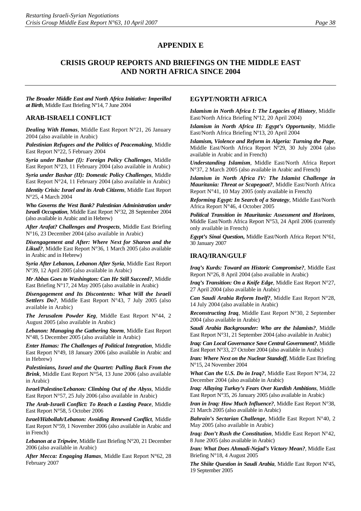### **APPENDIX E**

# **CRISIS GROUP REPORTS AND BRIEFINGS ON THE MIDDLE EAST AND NORTH AFRICA SINCE 2004**

*The Broader Middle East and North Africa Initiative: Imperilled at Birth*, Middle East Briefing Nº14, 7 June 2004

#### **ARAB-ISRAELI CONFLICT**

*Dealing With Hamas*, Middle East Report N°21, 26 January 2004 (also available in Arabic)

*Palestinian Refugees and the Politics of Peacemaking*, Middle East Report N°22, 5 February 2004

*Syria under Bashar (I): Foreign Policy Challenges*, Middle East Report N°23, 11 February 2004 (also available in Arabic)

*Syria under Bashar (II): Domestic Policy Challenges*, Middle East Report N°24, 11 February 2004 (also available in Arabic)

*Identity Crisis: Israel and its Arab Citizens*, Middle East Report N°25, 4 March 2004

*Who Governs the West Bank? Palestinian Administration under Israeli Occupation*, Middle East Report N°32, 28 September 2004 (also available in Arabic and in Hebrew)

*After Arafat? Challenges and Prospects*, Middle East Briefing N°16, 23 December 2004 (also available in Arabic)

*Disengagement and After: Where Next for Sharon and the Likud?*, Middle East Report N°36, 1 March 2005 (also available in Arabic and in Hebrew)

*Syria After Lebanon, Lebanon After Syria*, Middle East Report N°39, 12 April 2005 (also available in Arabic)

*Mr Abbas Goes to Washington: Can He Still Succeed?*, Middle East Briefing N°17, 24 May 2005 (also available in Arabic)

*Disengagement and Its Discontents: What Will the Israeli Settlers Do?*, Middle East Report N°43, 7 July 2005 (also available in Arabic)

*The Jerusalem Powder Keg*, Middle East Report N°44, 2 August 2005 (also available in Arabic)

*Lebanon: Managing the Gathering Storm*, Middle East Report N°48, 5 December 2005 (also available in Arabic)

*Enter Hamas: The Challenges of Political Integration*, Middle East Report N°49, 18 January 2006 (also available in Arabic and in Hebrew)

*Palestinians, Israel and the Quartet: Pulling Back From the Brink*, Middle East Report N°54, 13 June 2006 (also available in Arabic)

*Israel/Palestine/Lebanon: Climbing Out of the Abyss*, Middle East Report N°57, 25 July 2006 (also available in Arabic)

*The Arab-Israeli Conflict: To Reach a Lasting Peace*, Middle East Report N°58, 5 October 2006

*Israel/Hizbollah/Lebanon: Avoiding Renewed Conflict*, Middle East Report N°59, 1 November 2006 (also available in Arabic and in French)

*Lebanon at a Tripwire*, Middle East Briefing N°20, 21 December 2006 (also available in Arabic)

*After Mecca: Engaging Hamas*, Middle East Report N°62, 28 February 2007

#### **EGYPT/NORTH AFRICA**

*Islamism in North Africa I: The Legacies of History*, Middle East/North Africa Briefing Nº12, 20 April 2004)

*Islamism in North Africa II: Egypt's Opportunity*, Middle East/North Africa Briefing Nº13, 20 April 2004

*Islamism, Violence and Reform in Algeria: Turning the Page*, Middle East/North Africa Report Nº29, 30 July 2004 (also available in Arabic and in French)

*Understanding Islamism*, Middle East/North Africa Report N°37, 2 March 2005 (also available in Arabic and French)

*Islamism in North Africa IV: The Islamist Challenge in Mauritania: Threat or Scapegoat?*, Middle East/North Africa Report N°41, 10 May 2005 (only available in French)

*Reforming Egypt: In Search of a Strategy*, Middle East/North Africa Report N°46, 4 October 2005

*Political Transition in Mauritania: Assessment and Horizons*, Middle East/North Africa Report N°53, 24 April 2006 (currently only available in French)

*Egypt's Sinai Question***,** Middle East/North Africa Report N°61, 30 January 2007

#### **[IRAQ/IRAN/GULF](http://www.crisisweb.org/home/index.cfm?id=1275&l=1)**

*Iraq's Kurds: Toward an Historic Compromise?*, Middle East Report N°26, 8 April 2004 (also available in Arabic)

*Iraq's Transition: On a Knife Edge*, Middle East Report N°27, 27 April 2004 (also available in Arabic)

*Can Saudi Arabia Reform Itself?*, Middle East Report N°28, 14 July 2004 (also available in Arabic)

*Reconstructing Iraq*, Middle East Report N°30, 2 September 2004 (also available in Arabic)

*Saudi Arabia Backgrounder: Who are the Islamists?*, Middle East Report N°31, 21 September 2004 (also available in Arabic)

*Iraq: Can Local Governance Save Central Government?*, Middle East Report N°33, 27 October 2004 (also available in Arabic)

*Iran: Where Next on the Nuclear Standoff*, Middle East Briefing N°15, 24 November 2004

*What Can the U.S. Do in Iraq?*, Middle East Report N°34, 22 December 2004 (also available in Arabic)

*Iraq: Allaying Turkey's Fears Over Kurdish Ambitions*, Middle East Report N°35, 26 January 2005 (also available in Arabic)

*Iran in Iraq: How Much Influence?*, Middle East Report N°38, 21 March 2005 (also available in Arabic)

*Bahrain's Sectarian Challenge*, Middle East Report N°40, 2 May 2005 (also available in Arabic)

*Iraq: Don't Rush the Constitution*, Middle East Report N°42, 8 June 2005 (also available in Arabic)

*Iran: What Does Ahmadi-Nejad's Victory Mean?*, Middle East Briefing N°18, 4 August 2005

*The Shiite Question in Saudi Arabia*, Middle East Report Nº45, 19 September 2005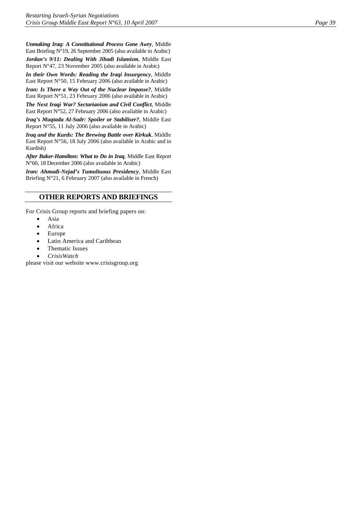*Unmaking Iraq: A Constitutional Process Gone Awry*, Middle East Briefing N°19, 26 September 2005 (also available in Arabic)

*Jordan's 9/11: Dealing With Jihadi Islamism*, Middle East Report N°47, 23 November 2005 (also available in Arabic)

*In their Own Words: Reading the Iraqi Insurgency*, Middle East Report N°50, 15 February 2006 (also available in Arabic)

*Iran: Is There a Way Out of the Nuclear Impasse?*, Middle East Report N°51, 23 February 2006 (also available in Arabic)

*The Next Iraqi War? Sectarianism and Civil Conflict*, Middle East Report N°52, 27 February 2006 (also available in Arabic)

*Iraq's Muqtada Al-Sadr: Spoiler or Stabiliser?*, Middle East Report N°55, 11 July 2006 (also available in Arabic)

*Iraq and the Kurds: The Brewing Battle over Kirkuk*, Middle East Report N°56, 18 July 2006 (also available in Arabic and in Kurdish)

*After Baker-Hamilton: What to Do in Iraq*, Middle East Report N°60, 18 December 2006 (also available in Arabic)

*Iran: Ahmadi-Nejad's Tumultuous Presidency*, Middle East Briefing N°21, 6 February 2007 (also available in French)

# **OTHER REPORTS AND BRIEFINGS**

For Crisis Group reports and briefing papers on:

- Asia
- **Africa**
- Europe
- Latin America and Caribbean
- Thematic Issues
- *CrisisWatch*

please visit our website [www.crisisgroup.org](http://www.crisisgroup.org/)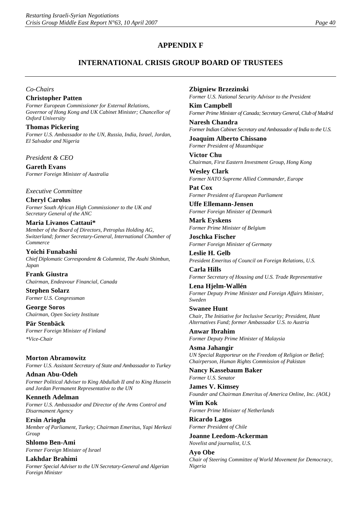# **APPENDIX F**

# **INTERNATIONAL CRISIS GROUP BOARD OF TRUSTEES**

#### *Co-Chairs*

### **Christopher Patten**

*Former European Commissioner for External Relations, Governor of Hong Kong and UK Cabinet Minister; Chancellor of Oxford University*

**Thomas Pickering**  *Former U.S. Ambassador to the UN, Russia, India, Israel, Jordan, El Salvador and Nigeria*

*President & CEO*

**Gareth Evans** *Former Foreign Minister of Australia*

*Executive Committee*

**Cheryl Carolus** *Former South African High Commissioner to the UK and Secretary General of the ANC*

#### **Maria Livanos Cattaui\***

*Member of the Board of Directors, Petroplus Holding AG, Switzerland; former Secretary-General, International Chamber of Commerce*

**Yoichi Funabashi** *Chief Diplomatic Correspondent & Columnist, The Asahi Shimbun, Japan* 

**Frank Giustra** *Chairman, Endeavour Financial, Canada*

**Stephen Solarz** *Former U.S. Congressman*

**George Soros** *Chairman, Open Society Institute*

**Pär Stenbäck** *Former Foreign Minister of Finland \*Vice-Chair*

**Morton Abramowitz** *Former U.S. Assistant Secretary of State and Ambassador to Turkey*

**Adnan Abu-Odeh** *Former Political Adviser to King Abdullah II and to King Hussein and Jordan Permanent Representative to the UN*

**Kenneth Adelman** *Former U.S. Ambassador and Director of the Arms Control and Disarmament Agency*

**Ersin Arioglu** *Member of Parliament, Turkey; Chairman Emeritus, Yapi Merkezi Group*

**Shlomo Ben-Ami** *Former Foreign Minister of Israel*

**Lakhdar Brahimi** *Former Special Adviser to the UN Secretary-General and Algerian Foreign Minister*

#### **Zbigniew Brzezinski**

*Former U.S. National Security Advisor to the President*

**Kim Campbell** *Former Prime Minister of Canada; Secretary General, Club of Madrid*

**Naresh Chandra** *Former Indian Cabinet Secretary and Ambassador of India to the U.S.*

**Joaquim Alberto Chissano** *Former President of Mozambique*

**Victor Chu** *Chairman, First Eastern Investment Group, Hong Kong*

**Wesley Clark** *Former NATO Supreme Allied Commander, Europe*

**Pat Cox** *Former President of European Parliament*

**Uffe Ellemann-Jensen** *Former Foreign Minister of Denmark*

**Mark Eyskens** *Former Prime Minister of Belgium*

**Joschka Fischer** *Former Foreign Minister of Germany*

**Leslie H. Gelb** *President Emeritus of Council on Foreign Relations, U.S.* 

**Carla Hills** *Former Secretary of Housing and U.S. Trade Representative*

**Lena Hjelm-Wallén** *Former Deputy Prime Minister and Foreign Affairs Minister, Sweden*

**Swanee Hunt** *Chair, The Initiative for Inclusive Security; President, Hunt Alternatives Fund; former Ambassador U.S. to Austria* 

**Anwar Ibrahim** *Former Deputy Prime Minister of Malaysia*

**Asma Jahangir** *UN Special Rapporteur on the Freedom of Religion or Belief; Chairperson, Human Rights Commission of Pakistan*

**Nancy Kassebaum Baker** *Former U.S. Senator* 

**James V. Kimsey** *Founder and Chairman Emeritus of America Online, Inc. (AOL)*

**Wim Kok** *Former Prime Minister of Netherlands*

**Ricardo Lagos** *Former President of Chile* 

**Joanne Leedom-Ackerman** *Novelist and journalist, U.S.*

**Ayo Obe** *Chair of Steering Committee of World Movement for Democracy, Nigeria*